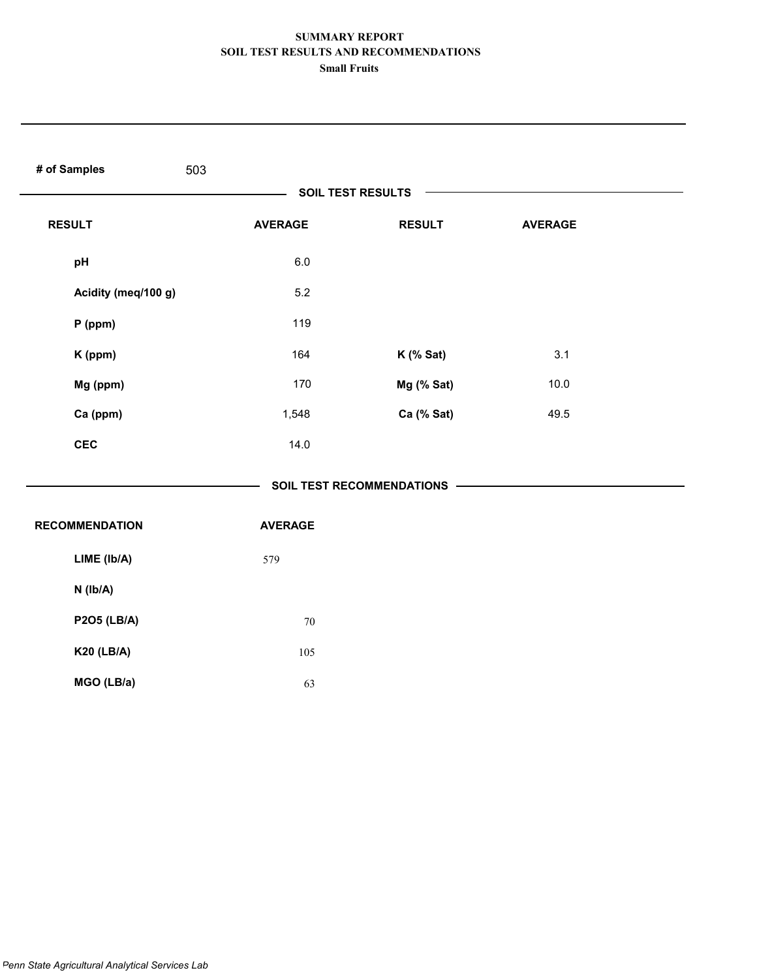| # of Samples<br>503   |                |                           |                |  |
|-----------------------|----------------|---------------------------|----------------|--|
|                       |                | SOIL TEST RESULTS         |                |  |
| <b>RESULT</b>         | <b>AVERAGE</b> | <b>RESULT</b>             | <b>AVERAGE</b> |  |
| pH                    | $6.0\,$        |                           |                |  |
| Acidity (meq/100 g)   | 5.2            |                           |                |  |
| $P$ (ppm)             | 119            |                           |                |  |
| K (ppm)               | 164            | K (% Sat)                 | 3.1            |  |
| Mg (ppm)              | 170            | Mg (% Sat)                | 10.0           |  |
| Ca (ppm)              | 1,548          | Ca (% Sat)                | 49.5           |  |
| <b>CEC</b>            | 14.0           |                           |                |  |
|                       |                | SOIL TEST RECOMMENDATIONS |                |  |
| <b>RECOMMENDATION</b> | <b>AVERAGE</b> |                           |                |  |
| LIME (Ib/A)           | 579            |                           |                |  |
| $N$ ( $lb/A$ )        |                |                           |                |  |
| <b>P2O5 (LB/A)</b>    | $70\,$         |                           |                |  |
| <b>K20 (LB/A)</b>     | 105            |                           |                |  |
| MGO (LB/a)            | 63             |                           |                |  |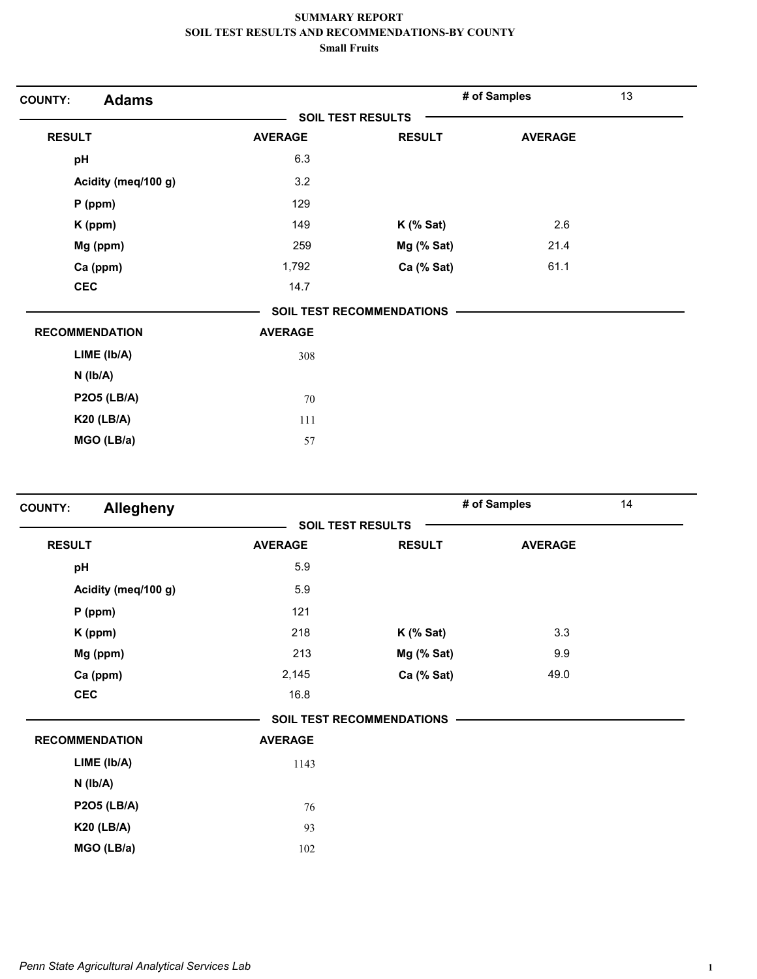| <b>Adams</b><br><b>COUNTY:</b> |                |                           | # of Samples   | 13 |
|--------------------------------|----------------|---------------------------|----------------|----|
|                                |                | <b>SOIL TEST RESULTS</b>  |                |    |
| <b>RESULT</b>                  | <b>AVERAGE</b> | <b>RESULT</b>             | <b>AVERAGE</b> |    |
| pH                             | 6.3            |                           |                |    |
| Acidity (meq/100 g)            | 3.2            |                           |                |    |
| $P$ (ppm)                      | 129            |                           |                |    |
| K (ppm)                        | 149            | $K$ (% Sat)               | 2.6            |    |
| Mg (ppm)                       | 259            | Mg (% Sat)                | 21.4           |    |
| Ca (ppm)                       | 1,792          | Ca (% Sat)                | 61.1           |    |
| <b>CEC</b>                     | 14.7           |                           |                |    |
|                                |                | SOIL TEST RECOMMENDATIONS |                |    |
| <b>RECOMMENDATION</b>          | <b>AVERAGE</b> |                           |                |    |
| LIME (Ib/A)                    | 308            |                           |                |    |
| $N$ ( $lb/A$ )                 |                |                           |                |    |
| <b>P2O5 (LB/A)</b>             | 70             |                           |                |    |
| <b>K20 (LB/A)</b>              | 111            |                           |                |    |
| MGO (LB/a)                     | 57             |                           |                |    |

| <b>Allegheny</b><br><b>COUNTY:</b> |                |                                  | # of Samples   | 14 |
|------------------------------------|----------------|----------------------------------|----------------|----|
|                                    |                | <b>SOIL TEST RESULTS</b>         |                |    |
| <b>RESULT</b>                      | <b>AVERAGE</b> | <b>RESULT</b>                    | <b>AVERAGE</b> |    |
| pH                                 | 5.9            |                                  |                |    |
| Acidity (meq/100 g)                | 5.9            |                                  |                |    |
| $P$ (ppm)                          | 121            |                                  |                |    |
| K (ppm)                            | 218            | $K$ (% Sat)                      | 3.3            |    |
| Mg (ppm)                           | 213            | Mg (% Sat)                       | 9.9            |    |
| Ca (ppm)                           | 2,145          | Ca (% Sat)                       | 49.0           |    |
| <b>CEC</b>                         | 16.8           |                                  |                |    |
|                                    |                | <b>SOIL TEST RECOMMENDATIONS</b> |                |    |
| <b>RECOMMENDATION</b>              | <b>AVERAGE</b> |                                  |                |    |
| LIME (Ib/A)                        | 1143           |                                  |                |    |
| $N$ ( $Ib/A$ )                     |                |                                  |                |    |
| <b>P2O5 (LB/A)</b>                 | 76             |                                  |                |    |
| <b>K20 (LB/A)</b>                  | 93             |                                  |                |    |
| MGO (LB/a)                         | 102            |                                  |                |    |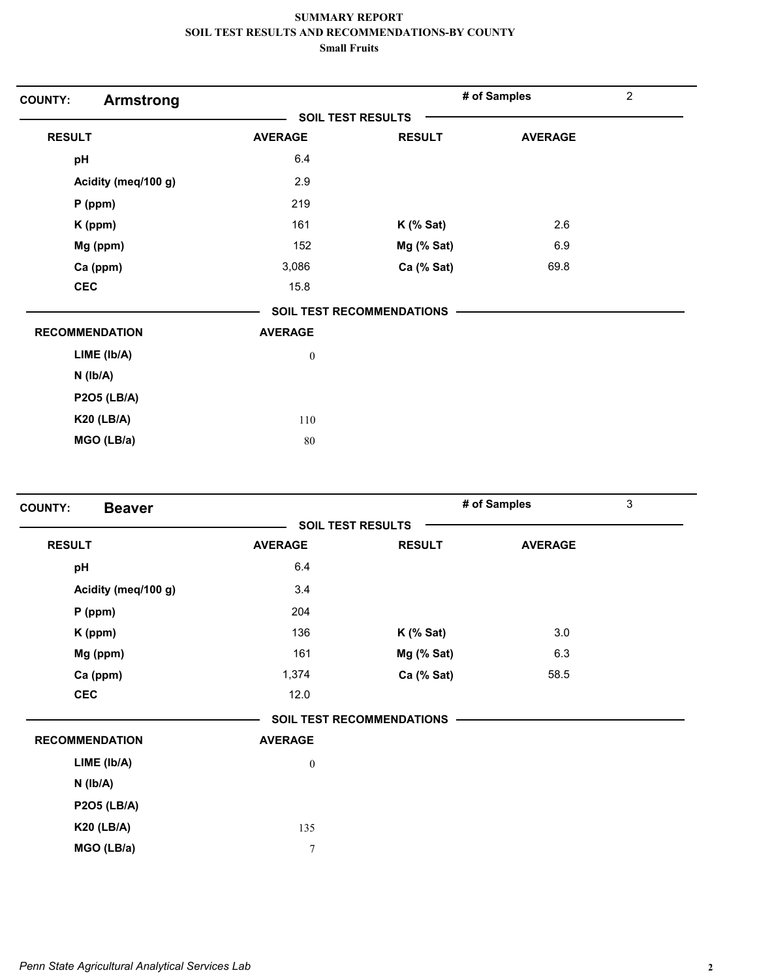| <b>COUNTY:</b><br><b>Armstrong</b> |                          |                                  | # of Samples   | $\overline{c}$ |
|------------------------------------|--------------------------|----------------------------------|----------------|----------------|
|                                    | <b>SOIL TEST RESULTS</b> |                                  |                |                |
| <b>RESULT</b>                      | <b>AVERAGE</b>           | <b>RESULT</b>                    | <b>AVERAGE</b> |                |
| pH                                 | 6.4                      |                                  |                |                |
| Acidity (meq/100 g)                | 2.9                      |                                  |                |                |
| $P$ (ppm)                          | 219                      |                                  |                |                |
| K (ppm)                            | 161                      | $K$ (% Sat)                      | 2.6            |                |
| Mg (ppm)                           | 152                      | Mg (% Sat)                       | 6.9            |                |
| Ca (ppm)                           | 3,086                    | Ca (% Sat)                       | 69.8           |                |
| <b>CEC</b>                         | 15.8                     |                                  |                |                |
|                                    |                          | <b>SOIL TEST RECOMMENDATIONS</b> |                |                |
| <b>RECOMMENDATION</b>              | <b>AVERAGE</b>           |                                  |                |                |
| LIME (Ib/A)                        | $\boldsymbol{0}$         |                                  |                |                |
| $N$ ( $Ib/A$ )                     |                          |                                  |                |                |
| <b>P2O5 (LB/A)</b>                 |                          |                                  |                |                |
| <b>K20 (LB/A)</b>                  | 110                      |                                  |                |                |
| MGO (LB/a)                         | 80                       |                                  |                |                |

| <b>Beaver</b><br><b>COUNTY:</b> |                  |                                  | # of Samples   | 3 |
|---------------------------------|------------------|----------------------------------|----------------|---|
|                                 |                  | <b>SOIL TEST RESULTS</b>         |                |   |
| <b>RESULT</b>                   | <b>AVERAGE</b>   | <b>RESULT</b>                    | <b>AVERAGE</b> |   |
| pH                              | 6.4              |                                  |                |   |
| Acidity (meq/100 g)             | 3.4              |                                  |                |   |
| $P$ (ppm)                       | 204              |                                  |                |   |
| K (ppm)                         | 136              | $K$ (% Sat)                      | 3.0            |   |
| Mg (ppm)                        | 161              | Mg (% Sat)                       | 6.3            |   |
| Ca (ppm)                        | 1,374            | Ca (% Sat)                       | 58.5           |   |
| <b>CEC</b>                      | 12.0             |                                  |                |   |
|                                 |                  | <b>SOIL TEST RECOMMENDATIONS</b> |                |   |
| <b>RECOMMENDATION</b>           | <b>AVERAGE</b>   |                                  |                |   |
| LIME (Ib/A)                     | $\boldsymbol{0}$ |                                  |                |   |
| $N$ ( $Ib/A$ )                  |                  |                                  |                |   |
| <b>P2O5 (LB/A)</b>              |                  |                                  |                |   |
| <b>K20 (LB/A)</b>               | 135              |                                  |                |   |
| MGO (LB/a)                      | $\overline{7}$   |                                  |                |   |
|                                 |                  |                                  |                |   |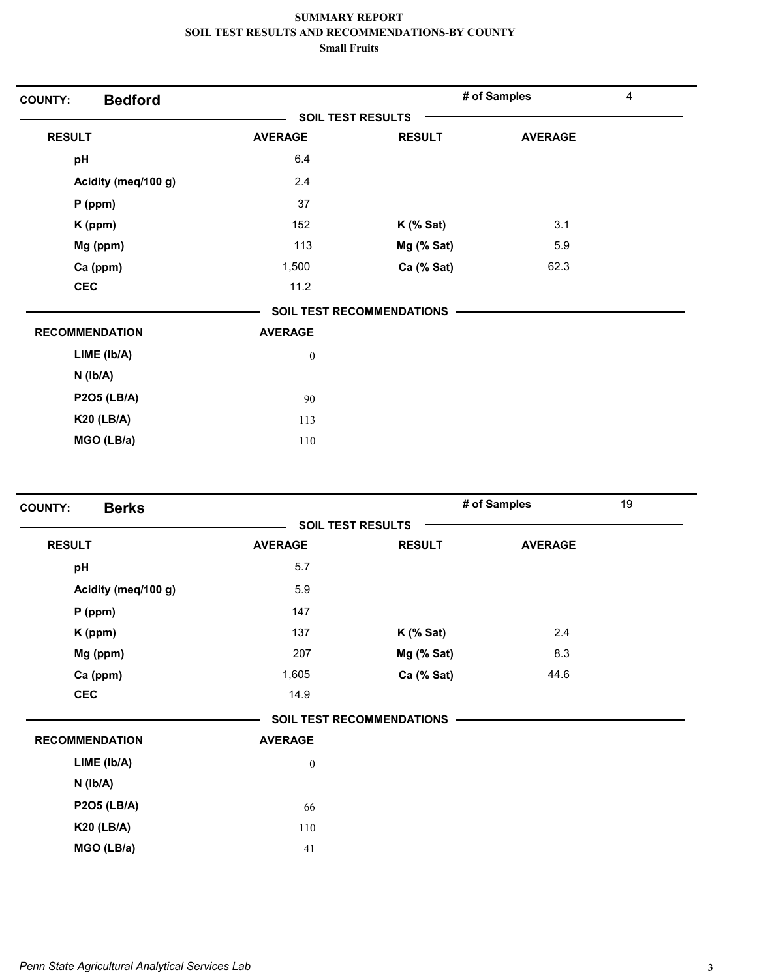| <b>Bedford</b><br><b>COUNTY:</b> |                          |                                  | # of Samples   | 4 |
|----------------------------------|--------------------------|----------------------------------|----------------|---|
|                                  | <b>SOIL TEST RESULTS</b> |                                  |                |   |
| <b>RESULT</b>                    | <b>AVERAGE</b>           | <b>RESULT</b>                    | <b>AVERAGE</b> |   |
| pH                               | 6.4                      |                                  |                |   |
| Acidity (meq/100 g)              | 2.4                      |                                  |                |   |
| $P$ (ppm)                        | 37                       |                                  |                |   |
| K (ppm)                          | 152                      | $K$ (% Sat)                      | 3.1            |   |
| Mg (ppm)                         | 113                      | Mg (% Sat)                       | 5.9            |   |
| Ca (ppm)                         | 1,500                    | Ca (% Sat)                       | 62.3           |   |
| <b>CEC</b>                       | 11.2                     |                                  |                |   |
|                                  |                          | <b>SOIL TEST RECOMMENDATIONS</b> |                |   |
| <b>RECOMMENDATION</b>            | <b>AVERAGE</b>           |                                  |                |   |
| LIME (Ib/A)                      | $\boldsymbol{0}$         |                                  |                |   |
| $N$ ( $Ib/A$ )                   |                          |                                  |                |   |
| <b>P2O5 (LB/A)</b>               | 90                       |                                  |                |   |
| <b>K20 (LB/A)</b>                | 113                      |                                  |                |   |
| MGO (LB/a)                       | 110                      |                                  |                |   |

| <b>Berks</b><br><b>COUNTY:</b> |                  |                                  | # of Samples   | 19 |
|--------------------------------|------------------|----------------------------------|----------------|----|
|                                |                  | <b>SOIL TEST RESULTS</b>         |                |    |
| <b>RESULT</b>                  | <b>AVERAGE</b>   | <b>RESULT</b>                    | <b>AVERAGE</b> |    |
| pH                             | 5.7              |                                  |                |    |
| Acidity (meq/100 g)            | 5.9              |                                  |                |    |
| $P$ (ppm)                      | 147              |                                  |                |    |
| K (ppm)                        | 137              | $K$ (% Sat)                      | 2.4            |    |
| Mg (ppm)                       | 207              | Mg (% Sat)                       | 8.3            |    |
| Ca (ppm)                       | 1,605            | Ca (% Sat)                       | 44.6           |    |
| <b>CEC</b>                     | 14.9             |                                  |                |    |
|                                |                  | <b>SOIL TEST RECOMMENDATIONS</b> |                |    |
| <b>RECOMMENDATION</b>          | <b>AVERAGE</b>   |                                  |                |    |
| LIME (Ib/A)                    | $\boldsymbol{0}$ |                                  |                |    |
| $N$ ( $lb/A$ )                 |                  |                                  |                |    |
| <b>P2O5 (LB/A)</b>             | 66               |                                  |                |    |
| <b>K20 (LB/A)</b>              | 110              |                                  |                |    |
| MGO (LB/a)                     | 41               |                                  |                |    |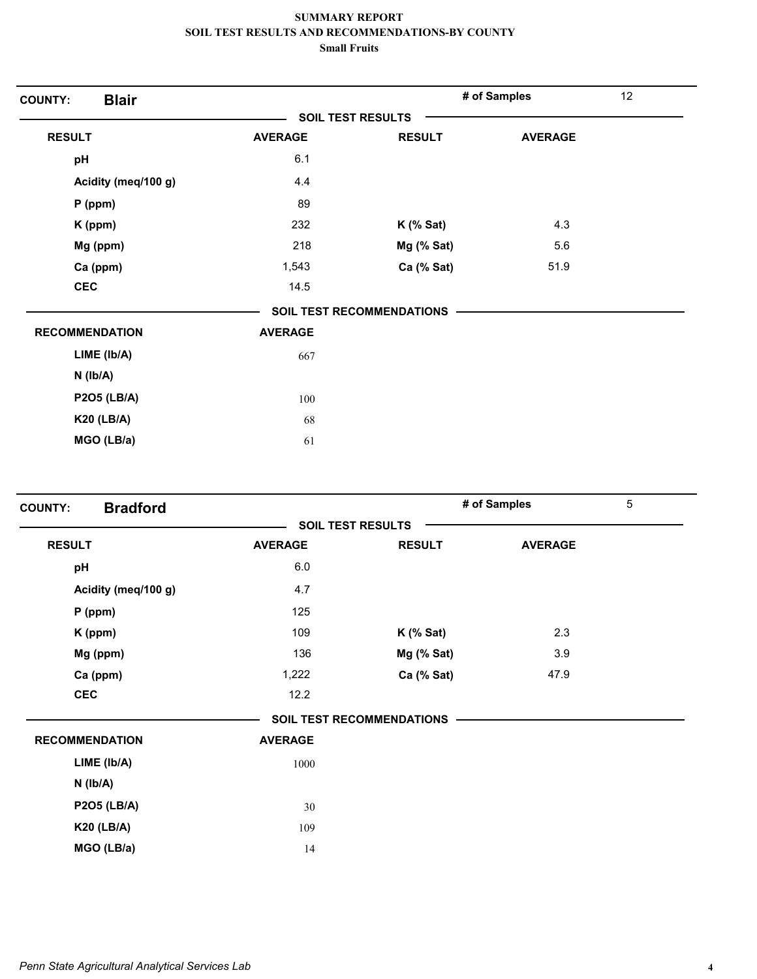| <b>Blair</b><br><b>COUNTY:</b> |                |                                  | # of Samples   | 12 |
|--------------------------------|----------------|----------------------------------|----------------|----|
|                                |                | <b>SOIL TEST RESULTS</b>         |                |    |
| <b>RESULT</b>                  | <b>AVERAGE</b> | <b>RESULT</b>                    | <b>AVERAGE</b> |    |
| pH                             | 6.1            |                                  |                |    |
| Acidity (meq/100 g)            | 4.4            |                                  |                |    |
| $P$ (ppm)                      | 89             |                                  |                |    |
| K (ppm)                        | 232            | $K$ (% Sat)                      | 4.3            |    |
| Mg (ppm)                       | 218            | Mg (% Sat)                       | 5.6            |    |
| Ca (ppm)                       | 1,543          | Ca (% Sat)                       | 51.9           |    |
| <b>CEC</b>                     | 14.5           |                                  |                |    |
|                                |                | <b>SOIL TEST RECOMMENDATIONS</b> |                |    |
| <b>RECOMMENDATION</b>          | <b>AVERAGE</b> |                                  |                |    |
| LIME (Ib/A)                    | 667            |                                  |                |    |
| $N$ ( $lb/A$ )                 |                |                                  |                |    |
| <b>P2O5 (LB/A)</b>             | 100            |                                  |                |    |
| <b>K20 (LB/A)</b>              | 68             |                                  |                |    |
| MGO (LB/a)                     | 61             |                                  |                |    |

| <b>Bradford</b><br><b>COUNTY:</b> |                |                                  | # of Samples   | 5 |
|-----------------------------------|----------------|----------------------------------|----------------|---|
|                                   |                | <b>SOIL TEST RESULTS</b>         |                |   |
| <b>RESULT</b>                     | <b>AVERAGE</b> | <b>RESULT</b>                    | <b>AVERAGE</b> |   |
| pH                                | $6.0\,$        |                                  |                |   |
| Acidity (meq/100 g)               | 4.7            |                                  |                |   |
| $P$ (ppm)                         | 125            |                                  |                |   |
| K (ppm)                           | 109            | $K$ (% Sat)                      | 2.3            |   |
| Mg (ppm)                          | 136            | Mg (% Sat)                       | 3.9            |   |
| Ca (ppm)                          | 1,222          | Ca (% Sat)                       | 47.9           |   |
| <b>CEC</b>                        | 12.2           |                                  |                |   |
|                                   |                | <b>SOIL TEST RECOMMENDATIONS</b> |                |   |
| <b>RECOMMENDATION</b>             | <b>AVERAGE</b> |                                  |                |   |
| LIME (Ib/A)                       | 1000           |                                  |                |   |
| $N$ ( $lb/A$ )                    |                |                                  |                |   |
| <b>P2O5 (LB/A)</b>                | 30             |                                  |                |   |
| <b>K20 (LB/A)</b>                 | 109            |                                  |                |   |
| MGO (LB/a)                        | 14             |                                  |                |   |
|                                   |                |                                  |                |   |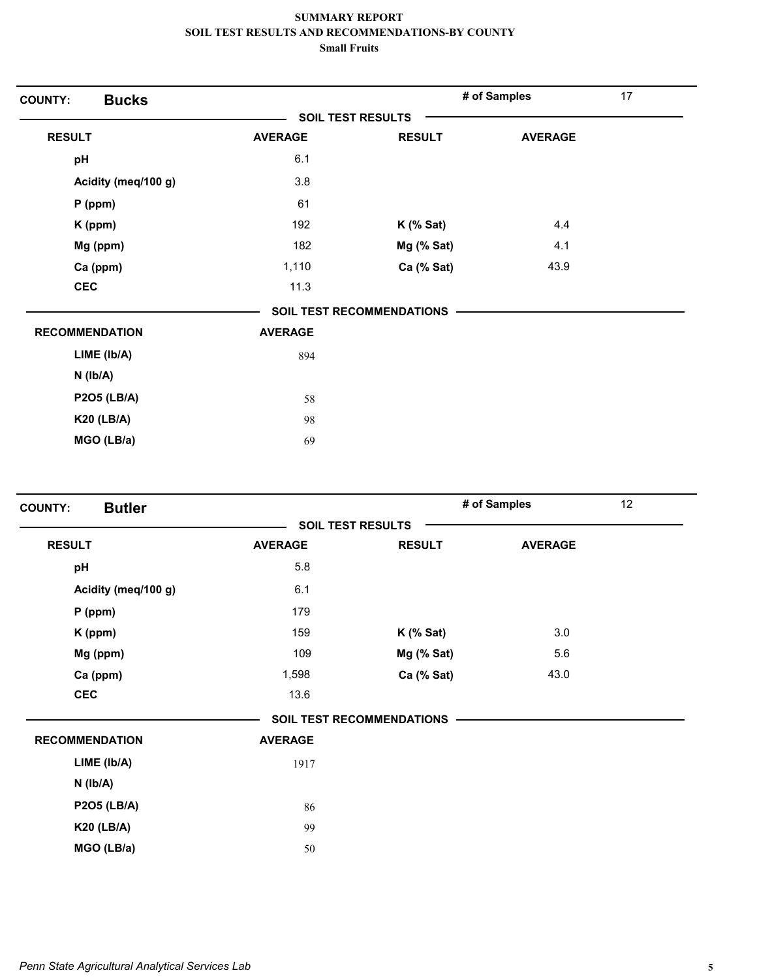| <b>COUNTY:</b>        | <b>Bucks</b>        |                |                                  | # of Samples   | 17 |
|-----------------------|---------------------|----------------|----------------------------------|----------------|----|
|                       |                     |                | SOIL TEST RESULTS                |                |    |
| <b>RESULT</b>         |                     | <b>AVERAGE</b> | <b>RESULT</b>                    | <b>AVERAGE</b> |    |
| pH                    |                     | 6.1            |                                  |                |    |
|                       | Acidity (meq/100 g) | 3.8            |                                  |                |    |
| $P$ (ppm)             |                     | 61             |                                  |                |    |
| K (ppm)               |                     | 192            | $K$ (% Sat)                      | 4.4            |    |
| Mg (ppm)              |                     | 182            | Mg (% Sat)                       | 4.1            |    |
| Ca (ppm)              |                     | 1,110          | Ca (% Sat)                       | 43.9           |    |
| <b>CEC</b>            |                     | 11.3           |                                  |                |    |
|                       |                     |                | <b>SOIL TEST RECOMMENDATIONS</b> |                |    |
| <b>RECOMMENDATION</b> |                     | <b>AVERAGE</b> |                                  |                |    |
|                       | LIME (Ib/A)         | 894            |                                  |                |    |
| $N$ ( $Ib/A$ )        |                     |                |                                  |                |    |
|                       | <b>P2O5 (LB/A)</b>  | 58             |                                  |                |    |
| <b>K20 (LB/A)</b>     |                     | 98             |                                  |                |    |
|                       | MGO (LB/a)          | 69             |                                  |                |    |
|                       |                     |                |                                  |                |    |

| <b>Butler</b><br><b>COUNTY:</b> |                |                                  | # of Samples   | 12 |
|---------------------------------|----------------|----------------------------------|----------------|----|
|                                 |                | <b>SOIL TEST RESULTS</b>         |                |    |
| <b>RESULT</b>                   | <b>AVERAGE</b> | <b>RESULT</b>                    | <b>AVERAGE</b> |    |
| pH                              | 5.8            |                                  |                |    |
| Acidity (meq/100 g)             | 6.1            |                                  |                |    |
| $P$ (ppm)                       | 179            |                                  |                |    |
| K (ppm)                         | 159            | $K$ (% Sat)                      | 3.0            |    |
| Mg (ppm)                        | 109            | Mg (% Sat)                       | 5.6            |    |
| Ca (ppm)                        | 1,598          | Ca (% Sat)                       | 43.0           |    |
| <b>CEC</b>                      | 13.6           |                                  |                |    |
|                                 |                | <b>SOIL TEST RECOMMENDATIONS</b> |                |    |
| <b>RECOMMENDATION</b>           | <b>AVERAGE</b> |                                  |                |    |
| LIME (Ib/A)                     | 1917           |                                  |                |    |
| $N$ ( $Ib/A$ )                  |                |                                  |                |    |
| <b>P2O5 (LB/A)</b>              | 86             |                                  |                |    |
| <b>K20 (LB/A)</b>               | 99             |                                  |                |    |
| MGO (LB/a)                      | 50             |                                  |                |    |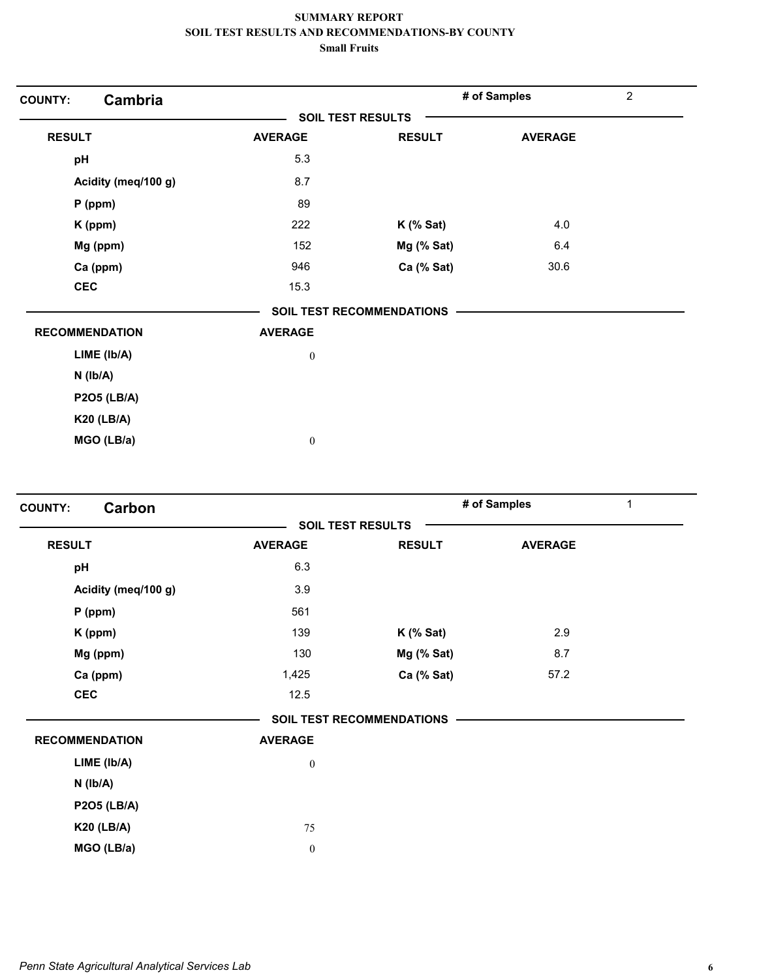| Cambria<br><b>COUNTY:</b> |                  |                                  | # of Samples   | $\overline{2}$ |
|---------------------------|------------------|----------------------------------|----------------|----------------|
|                           |                  | <b>SOIL TEST RESULTS</b>         |                |                |
| <b>RESULT</b>             | <b>AVERAGE</b>   | <b>RESULT</b>                    | <b>AVERAGE</b> |                |
| pH                        | 5.3              |                                  |                |                |
| Acidity (meq/100 g)       | 8.7              |                                  |                |                |
| $P$ (ppm)                 | 89               |                                  |                |                |
| K (ppm)                   | 222              | $K$ (% Sat)                      | 4.0            |                |
| Mg (ppm)                  | 152              | Mg (% Sat)                       | 6.4            |                |
| Ca (ppm)                  | 946              | Ca (% Sat)                       | 30.6           |                |
| <b>CEC</b>                | 15.3             |                                  |                |                |
|                           |                  | <b>SOIL TEST RECOMMENDATIONS</b> |                |                |
| <b>RECOMMENDATION</b>     | <b>AVERAGE</b>   |                                  |                |                |
| LIME (Ib/A)               | $\boldsymbol{0}$ |                                  |                |                |
| $N$ ( $lb/A$ )            |                  |                                  |                |                |
| <b>P2O5 (LB/A)</b>        |                  |                                  |                |                |
| <b>K20 (LB/A)</b>         |                  |                                  |                |                |
| MGO (LB/a)                | $\boldsymbol{0}$ |                                  |                |                |

| Carbon<br><b>COUNTY:</b> |                  |                                  | # of Samples   | 1 |
|--------------------------|------------------|----------------------------------|----------------|---|
|                          |                  | <b>SOIL TEST RESULTS</b>         |                |   |
| <b>RESULT</b>            | <b>AVERAGE</b>   | <b>RESULT</b>                    | <b>AVERAGE</b> |   |
| pH                       | 6.3              |                                  |                |   |
| Acidity (meq/100 g)      | 3.9              |                                  |                |   |
| $P$ (ppm)                | 561              |                                  |                |   |
| K (ppm)                  | 139              | $K$ (% Sat)                      | 2.9            |   |
| Mg (ppm)                 | 130              | Mg (% Sat)                       | 8.7            |   |
| Ca (ppm)                 | 1,425            | Ca (% Sat)                       | 57.2           |   |
| <b>CEC</b>               | 12.5             |                                  |                |   |
|                          |                  | <b>SOIL TEST RECOMMENDATIONS</b> |                |   |
| <b>RECOMMENDATION</b>    | <b>AVERAGE</b>   |                                  |                |   |
| LIME (Ib/A)              | $\boldsymbol{0}$ |                                  |                |   |
| $N$ ( $Ib/A$ )           |                  |                                  |                |   |
| <b>P2O5 (LB/A)</b>       |                  |                                  |                |   |
| <b>K20 (LB/A)</b>        | 75               |                                  |                |   |
| MGO (LB/a)               | $\boldsymbol{0}$ |                                  |                |   |
|                          |                  |                                  |                |   |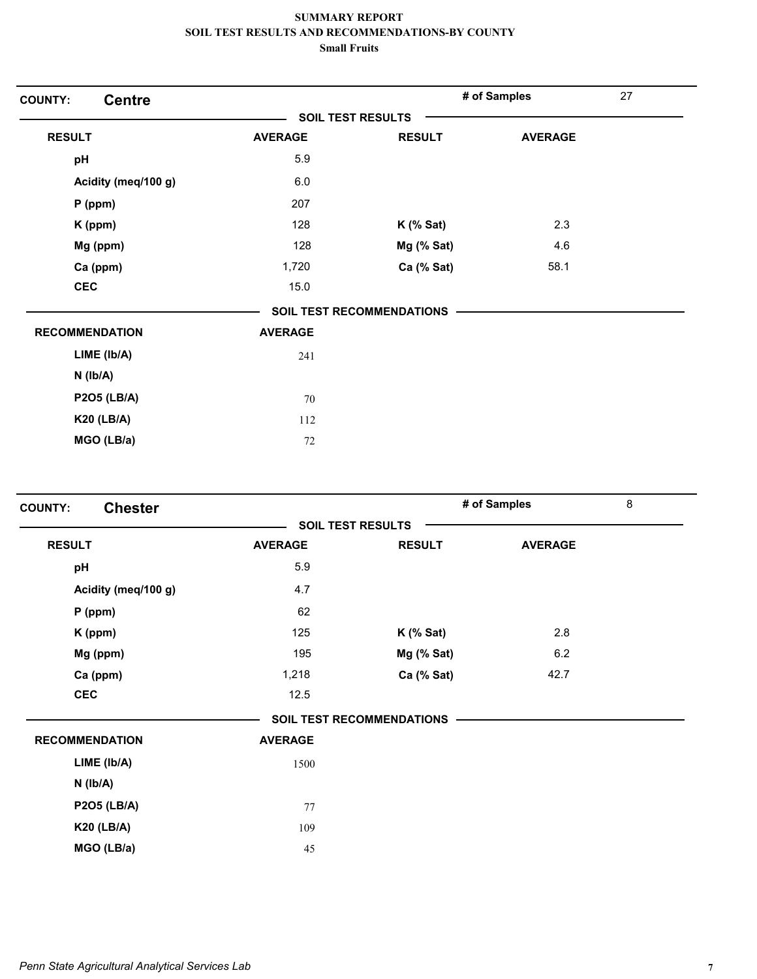| <b>COUNTY:</b>        | <b>Centre</b>       |                |                           | # of Samples   | 27 |
|-----------------------|---------------------|----------------|---------------------------|----------------|----|
|                       |                     |                | <b>SOIL TEST RESULTS</b>  |                |    |
| <b>RESULT</b>         |                     | <b>AVERAGE</b> | <b>RESULT</b>             | <b>AVERAGE</b> |    |
| pH                    |                     | 5.9            |                           |                |    |
|                       | Acidity (meq/100 g) | 6.0            |                           |                |    |
| $P$ (ppm)             |                     | 207            |                           |                |    |
| K (ppm)               |                     | 128            | $K$ (% Sat)               | 2.3            |    |
| Mg (ppm)              |                     | 128            | Mg (% Sat)                | 4.6            |    |
| Ca (ppm)              |                     | 1,720          | Ca (% Sat)                | 58.1           |    |
| <b>CEC</b>            |                     | 15.0           |                           |                |    |
|                       |                     |                | SOIL TEST RECOMMENDATIONS |                |    |
| <b>RECOMMENDATION</b> |                     | <b>AVERAGE</b> |                           |                |    |
| LIME (lb/A)           |                     | 241            |                           |                |    |
| $N$ ( $lb/A$ )        |                     |                |                           |                |    |
| <b>P2O5 (LB/A)</b>    |                     | 70             |                           |                |    |
| <b>K20 (LB/A)</b>     |                     | 112            |                           |                |    |
| MGO (LB/a)            |                     | 72             |                           |                |    |
|                       |                     |                |                           |                |    |

| <b>Chester</b><br><b>COUNTY:</b> |                |                                  | # of Samples   | 8 |
|----------------------------------|----------------|----------------------------------|----------------|---|
|                                  |                | <b>SOIL TEST RESULTS</b>         |                |   |
| <b>RESULT</b>                    | <b>AVERAGE</b> | <b>RESULT</b>                    | <b>AVERAGE</b> |   |
| pH                               | 5.9            |                                  |                |   |
| Acidity (meq/100 g)              | 4.7            |                                  |                |   |
| $P$ (ppm)                        | 62             |                                  |                |   |
| K (ppm)                          | 125            | $K$ (% Sat)                      | 2.8            |   |
| Mg (ppm)                         | 195            | Mg (% Sat)                       | 6.2            |   |
| Ca (ppm)                         | 1,218          | Ca (% Sat)                       | 42.7           |   |
| <b>CEC</b>                       | 12.5           |                                  |                |   |
|                                  |                | <b>SOIL TEST RECOMMENDATIONS</b> |                |   |
| <b>RECOMMENDATION</b>            | <b>AVERAGE</b> |                                  |                |   |
| LIME (Ib/A)                      | 1500           |                                  |                |   |
| $N$ ( $lb/A$ )                   |                |                                  |                |   |
| <b>P2O5 (LB/A)</b>               | 77             |                                  |                |   |
| <b>K20 (LB/A)</b>                | 109            |                                  |                |   |
| MGO (LB/a)                       | 45             |                                  |                |   |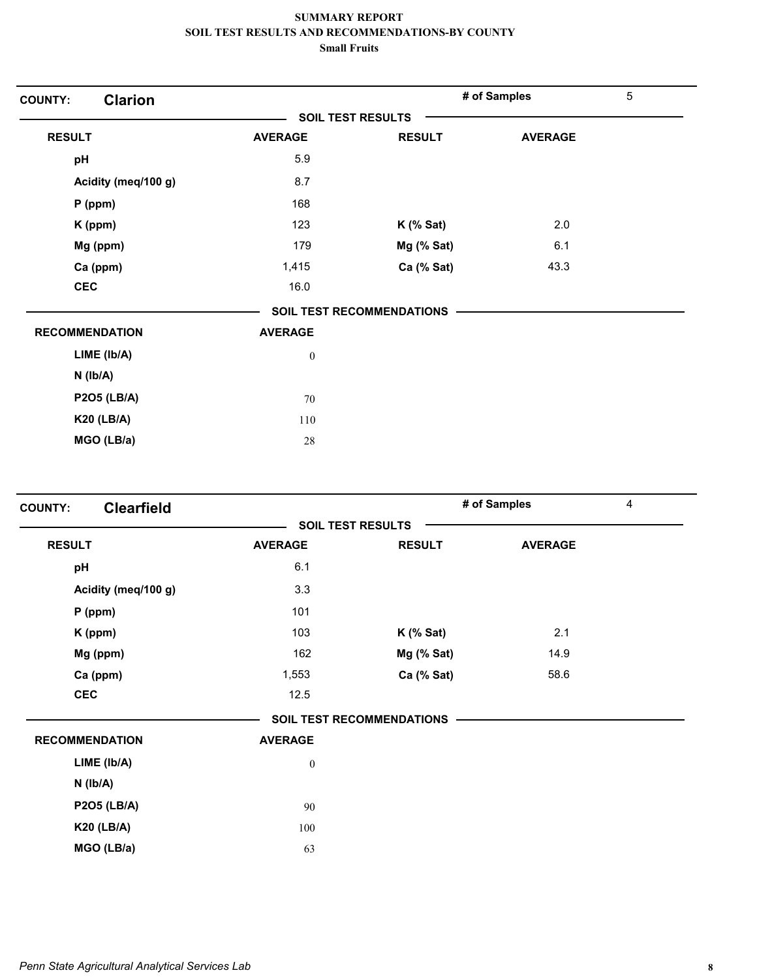| <b>Clarion</b><br><b>COUNTY:</b> |                          |                           | # of Samples   | $\sqrt{5}$ |
|----------------------------------|--------------------------|---------------------------|----------------|------------|
|                                  | <b>SOIL TEST RESULTS</b> |                           |                |            |
| <b>RESULT</b>                    | <b>AVERAGE</b>           | <b>RESULT</b>             | <b>AVERAGE</b> |            |
| pH                               | 5.9                      |                           |                |            |
| Acidity (meq/100 g)              | 8.7                      |                           |                |            |
| $P$ (ppm)                        | 168                      |                           |                |            |
| K (ppm)                          | 123                      | $K$ (% Sat)               | 2.0            |            |
| Mg (ppm)                         | 179                      | Mg (% Sat)                | 6.1            |            |
| Ca (ppm)                         | 1,415                    | Ca (% Sat)                | 43.3           |            |
| <b>CEC</b>                       | 16.0                     |                           |                |            |
|                                  |                          | SOIL TEST RECOMMENDATIONS |                |            |
| <b>RECOMMENDATION</b>            | <b>AVERAGE</b>           |                           |                |            |
| LIME (Ib/A)                      | $\boldsymbol{0}$         |                           |                |            |
| $N$ ( $lb/A$ )                   |                          |                           |                |            |
| <b>P2O5 (LB/A)</b>               | 70                       |                           |                |            |
| <b>K20 (LB/A)</b>                | 110                      |                           |                |            |
| MGO (LB/a)                       | 28                       |                           |                |            |

| <b>COUNTY:</b>        | <b>Clearfield</b>   |                  |                                  | # of Samples   | $\overline{4}$ |
|-----------------------|---------------------|------------------|----------------------------------|----------------|----------------|
|                       |                     |                  | <b>SOIL TEST RESULTS</b>         |                |                |
| <b>RESULT</b>         |                     | <b>AVERAGE</b>   | <b>RESULT</b>                    | <b>AVERAGE</b> |                |
| pH                    |                     | 6.1              |                                  |                |                |
|                       | Acidity (meq/100 g) | 3.3              |                                  |                |                |
|                       | $P$ (ppm)           | 101              |                                  |                |                |
|                       | K (ppm)             | 103              | $K$ (% Sat)                      | 2.1            |                |
|                       | Mg (ppm)            | 162              | Mg (% Sat)                       | 14.9           |                |
|                       | Ca (ppm)            | 1,553            | Ca (% Sat)                       | 58.6           |                |
| <b>CEC</b>            |                     | 12.5             |                                  |                |                |
|                       |                     |                  | <b>SOIL TEST RECOMMENDATIONS</b> |                |                |
| <b>RECOMMENDATION</b> |                     | <b>AVERAGE</b>   |                                  |                |                |
|                       | LIME (Ib/A)         | $\boldsymbol{0}$ |                                  |                |                |
|                       | $N$ ( $lb/A$ )      |                  |                                  |                |                |
|                       | <b>P2O5 (LB/A)</b>  | 90               |                                  |                |                |
|                       | <b>K20 (LB/A)</b>   | 100              |                                  |                |                |
|                       | MGO (LB/a)          | 63               |                                  |                |                |
|                       |                     |                  |                                  |                |                |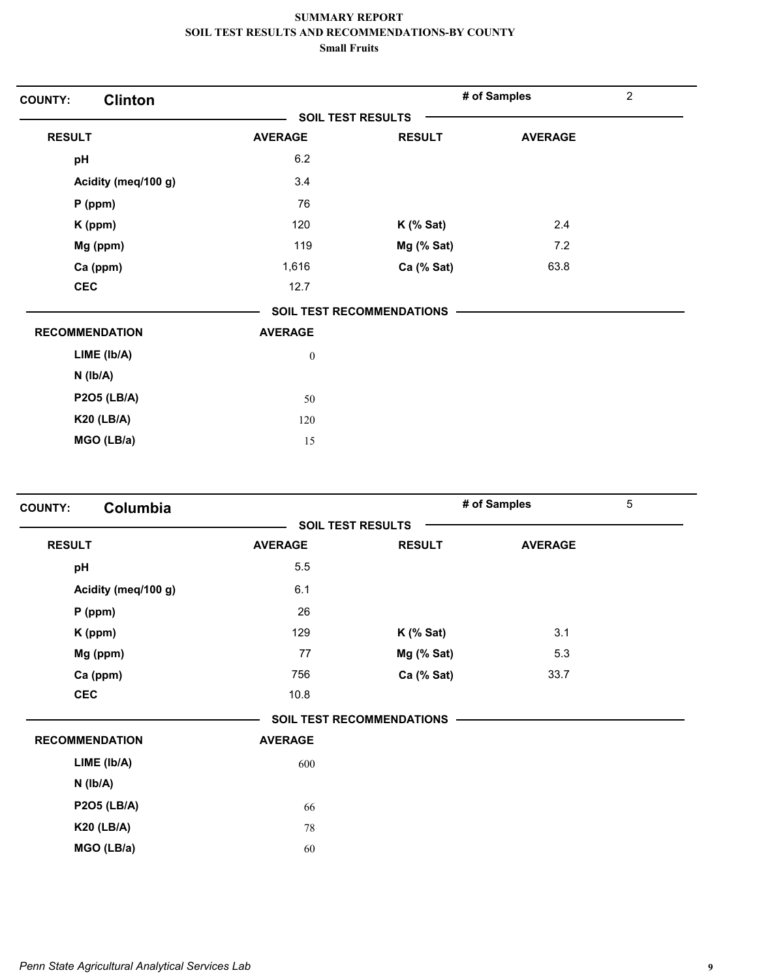| <b>Clinton</b><br><b>COUNTY:</b> |                          |                                  | # of Samples   | $\overline{2}$ |
|----------------------------------|--------------------------|----------------------------------|----------------|----------------|
|                                  | <b>SOIL TEST RESULTS</b> |                                  |                |                |
| <b>RESULT</b>                    | <b>AVERAGE</b>           | <b>RESULT</b>                    | <b>AVERAGE</b> |                |
| pH                               | 6.2                      |                                  |                |                |
| Acidity (meq/100 g)              | 3.4                      |                                  |                |                |
| P (ppm)                          | 76                       |                                  |                |                |
| K (ppm)                          | 120                      | $K$ (% Sat)                      | 2.4            |                |
| Mg (ppm)                         | 119                      | Mg (% Sat)                       | 7.2            |                |
| Ca (ppm)                         | 1,616                    | Ca (% Sat)                       | 63.8           |                |
| <b>CEC</b>                       | 12.7                     |                                  |                |                |
|                                  |                          | <b>SOIL TEST RECOMMENDATIONS</b> |                |                |
| <b>RECOMMENDATION</b>            | <b>AVERAGE</b>           |                                  |                |                |
| LIME (Ib/A)                      | $\boldsymbol{0}$         |                                  |                |                |
| $N$ ( $lb/A$ )                   |                          |                                  |                |                |
| <b>P2O5 (LB/A)</b>               | 50                       |                                  |                |                |
| <b>K20 (LB/A)</b>                | 120                      |                                  |                |                |
| MGO (LB/a)                       | 15                       |                                  |                |                |
|                                  |                          |                                  |                |                |

| Columbia<br><b>COUNTY:</b> |                |                           | # of Samples   | 5 |
|----------------------------|----------------|---------------------------|----------------|---|
|                            |                | <b>SOIL TEST RESULTS</b>  |                |   |
| <b>RESULT</b>              | <b>AVERAGE</b> | <b>RESULT</b>             | <b>AVERAGE</b> |   |
| pH                         | 5.5            |                           |                |   |
| Acidity (meq/100 g)        | 6.1            |                           |                |   |
| $P$ (ppm)                  | 26             |                           |                |   |
| K (ppm)                    | 129            | $K$ (% Sat)               | 3.1            |   |
| Mg (ppm)                   | 77             | Mg (% Sat)                | 5.3            |   |
| Ca (ppm)                   | 756            | Ca (% Sat)                | 33.7           |   |
| <b>CEC</b>                 | 10.8           |                           |                |   |
|                            |                | SOIL TEST RECOMMENDATIONS |                |   |
| <b>RECOMMENDATION</b>      | <b>AVERAGE</b> |                           |                |   |
| LIME (Ib/A)                | 600            |                           |                |   |
| $N$ ( $lb/A$ )             |                |                           |                |   |
| <b>P2O5 (LB/A)</b>         | 66             |                           |                |   |
| <b>K20 (LB/A)</b>          | 78             |                           |                |   |
| MGO (LB/a)                 | 60             |                           |                |   |
|                            |                |                           |                |   |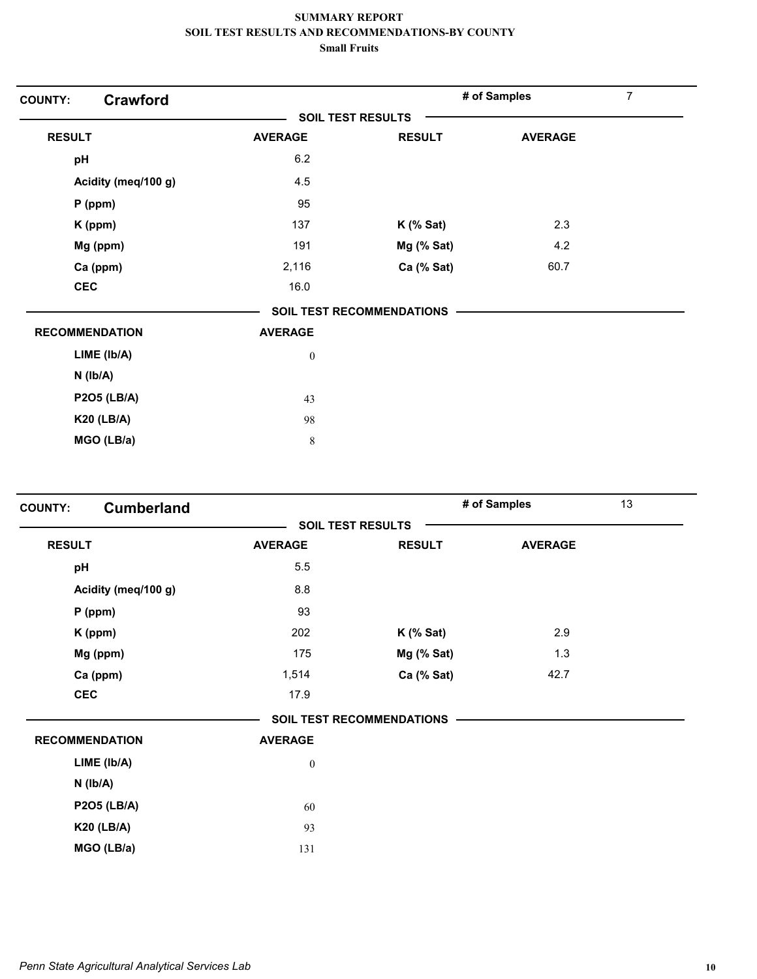| <b>COUNTY:</b> | <b>Crawford</b>       |                  |                                  | # of Samples   | $\overline{7}$ |
|----------------|-----------------------|------------------|----------------------------------|----------------|----------------|
|                |                       |                  | <b>SOIL TEST RESULTS</b>         |                |                |
| <b>RESULT</b>  |                       | <b>AVERAGE</b>   | <b>RESULT</b>                    | <b>AVERAGE</b> |                |
| pH             |                       | 6.2              |                                  |                |                |
|                | Acidity (meq/100 g)   | 4.5              |                                  |                |                |
|                | P (ppm)               | 95               |                                  |                |                |
|                | K (ppm)               | 137              | $K$ (% Sat)                      | 2.3            |                |
|                | Mg (ppm)              | 191              | Mg (% Sat)                       | 4.2            |                |
|                | Ca (ppm)              | 2,116            | Ca (% Sat)                       | 60.7           |                |
|                | <b>CEC</b>            | 16.0             |                                  |                |                |
|                |                       |                  | <b>SOIL TEST RECOMMENDATIONS</b> |                |                |
|                | <b>RECOMMENDATION</b> | <b>AVERAGE</b>   |                                  |                |                |
|                | LIME (Ib/A)           | $\boldsymbol{0}$ |                                  |                |                |
|                | $N$ ( $Ib/A$ )        |                  |                                  |                |                |
|                | <b>P2O5 (LB/A)</b>    | 43               |                                  |                |                |
|                | <b>K20 (LB/A)</b>     | 98               |                                  |                |                |
|                | MGO (LB/a)            | 8                |                                  |                |                |
|                |                       |                  |                                  |                |                |

| <b>COUNTY:</b> | <b>Cumberland</b>     |                          |                           | # of Samples   | 13 |
|----------------|-----------------------|--------------------------|---------------------------|----------------|----|
|                |                       | <b>SOIL TEST RESULTS</b> |                           |                |    |
| <b>RESULT</b>  |                       | <b>AVERAGE</b>           | <b>RESULT</b>             | <b>AVERAGE</b> |    |
| pH             |                       | 5.5                      |                           |                |    |
|                | Acidity (meq/100 g)   | 8.8                      |                           |                |    |
|                | $P$ (ppm)             | 93                       |                           |                |    |
|                | K (ppm)               | 202                      | $K$ (% Sat)               | 2.9            |    |
|                | Mg (ppm)              | 175                      | Mg (% Sat)                | 1.3            |    |
|                | Ca (ppm)              | 1,514                    | Ca (% Sat)                | 42.7           |    |
|                | <b>CEC</b>            | 17.9                     |                           |                |    |
|                |                       |                          | SOIL TEST RECOMMENDATIONS |                |    |
|                | <b>RECOMMENDATION</b> | <b>AVERAGE</b>           |                           |                |    |
|                | LIME (Ib/A)           | $\boldsymbol{0}$         |                           |                |    |
|                | $N$ ( $Ib/A$ )        |                          |                           |                |    |
|                | <b>P2O5 (LB/A)</b>    | 60                       |                           |                |    |
|                | <b>K20 (LB/A)</b>     | 93                       |                           |                |    |
|                | MGO (LB/a)            | 131                      |                           |                |    |
|                |                       |                          |                           |                |    |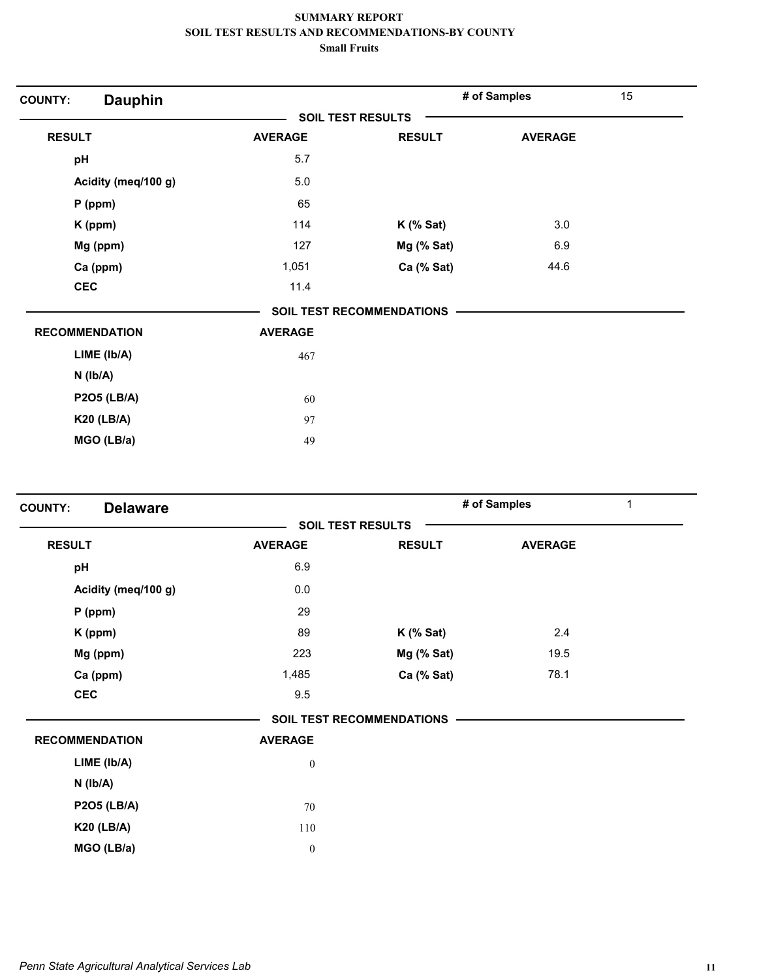| <b>Dauphin</b><br><b>COUNTY:</b> |                |                           | # of Samples   | 15 |
|----------------------------------|----------------|---------------------------|----------------|----|
|                                  |                | <b>SOIL TEST RESULTS</b>  |                |    |
| <b>RESULT</b>                    | <b>AVERAGE</b> | <b>RESULT</b>             | <b>AVERAGE</b> |    |
| pH                               | 5.7            |                           |                |    |
| Acidity (meq/100 g)              | 5.0            |                           |                |    |
| $P$ (ppm)                        | 65             |                           |                |    |
| K (ppm)                          | 114            | $K$ (% Sat)               | 3.0            |    |
| Mg (ppm)                         | 127            | Mg (% Sat)                | 6.9            |    |
| Ca (ppm)                         | 1,051          | Ca (% Sat)                | 44.6           |    |
| <b>CEC</b>                       | 11.4           |                           |                |    |
|                                  |                | SOIL TEST RECOMMENDATIONS |                |    |
| <b>RECOMMENDATION</b>            | <b>AVERAGE</b> |                           |                |    |
| LIME (Ib/A)                      | 467            |                           |                |    |
| $N$ ( $lb/A$ )                   |                |                           |                |    |
| <b>P2O5 (LB/A)</b>               | 60             |                           |                |    |
| <b>K20 (LB/A)</b>                | 97             |                           |                |    |
| MGO (LB/a)                       | 49             |                           |                |    |

| <b>Delaware</b><br><b>COUNTY:</b> |                  |                                  | # of Samples   | $\mathbf 1$ |
|-----------------------------------|------------------|----------------------------------|----------------|-------------|
|                                   |                  | <b>SOIL TEST RESULTS</b>         |                |             |
| <b>RESULT</b>                     | <b>AVERAGE</b>   | <b>RESULT</b>                    | <b>AVERAGE</b> |             |
| pH                                | 6.9              |                                  |                |             |
| Acidity (meq/100 g)               | 0.0              |                                  |                |             |
| $P$ (ppm)                         | 29               |                                  |                |             |
| K (ppm)                           | 89               | $K$ (% Sat)                      | 2.4            |             |
| Mg (ppm)                          | 223              | Mg (% Sat)                       | 19.5           |             |
| Ca (ppm)                          | 1,485            | Ca (% Sat)                       | 78.1           |             |
| <b>CEC</b>                        | 9.5              |                                  |                |             |
|                                   |                  | <b>SOIL TEST RECOMMENDATIONS</b> |                |             |
| <b>RECOMMENDATION</b>             | <b>AVERAGE</b>   |                                  |                |             |
| LIME (Ib/A)                       | $\boldsymbol{0}$ |                                  |                |             |
| $N$ ( $Ib/A$ )                    |                  |                                  |                |             |
| <b>P2O5 (LB/A)</b>                | 70               |                                  |                |             |
| <b>K20 (LB/A)</b>                 | 110              |                                  |                |             |
| MGO (LB/a)                        | $\boldsymbol{0}$ |                                  |                |             |
|                                   |                  |                                  |                |             |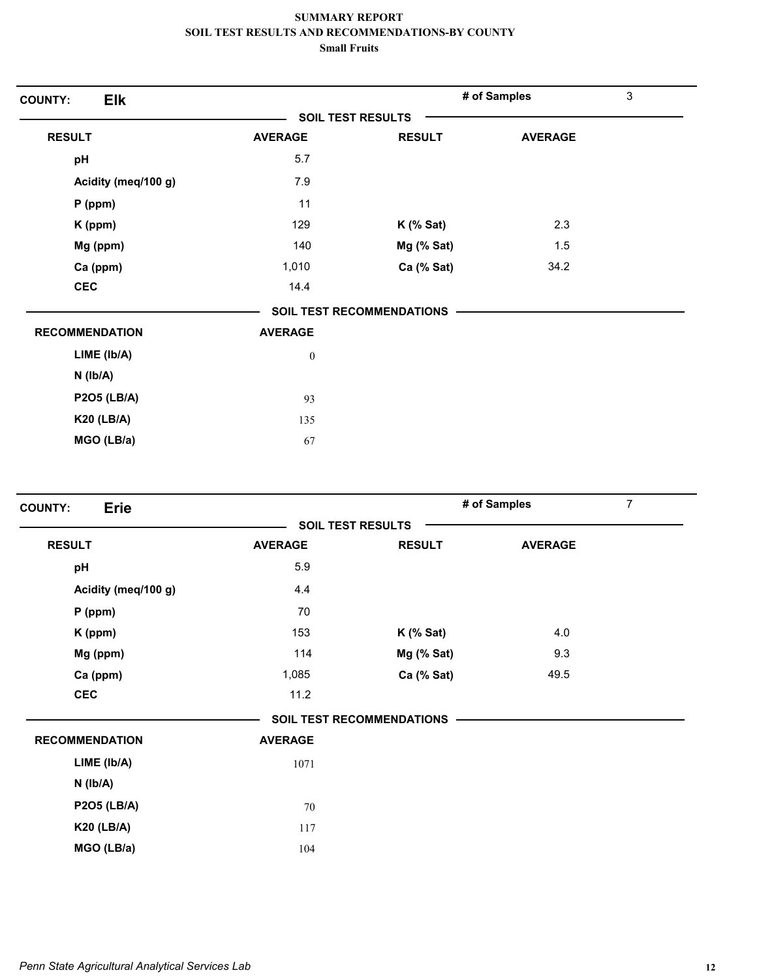| <b>Elk</b><br><b>COUNTY:</b> |                          |                                  | # of Samples   | 3 |
|------------------------------|--------------------------|----------------------------------|----------------|---|
|                              | <b>SOIL TEST RESULTS</b> |                                  |                |   |
| <b>RESULT</b>                | <b>AVERAGE</b>           | <b>RESULT</b>                    | <b>AVERAGE</b> |   |
| pH                           | 5.7                      |                                  |                |   |
| Acidity (meq/100 g)          | 7.9                      |                                  |                |   |
| $P$ (ppm)                    | 11                       |                                  |                |   |
| K (ppm)                      | 129                      | $K$ (% Sat)                      | 2.3            |   |
| Mg (ppm)                     | 140                      | Mg (% Sat)                       | 1.5            |   |
| Ca (ppm)                     | 1,010                    | Ca (% Sat)                       | 34.2           |   |
| <b>CEC</b>                   | 14.4                     |                                  |                |   |
|                              |                          | <b>SOIL TEST RECOMMENDATIONS</b> |                |   |
| <b>RECOMMENDATION</b>        | <b>AVERAGE</b>           |                                  |                |   |
| LIME (Ib/A)                  | $\boldsymbol{0}$         |                                  |                |   |
| $N$ ( $lb/A$ )               |                          |                                  |                |   |
| <b>P2O5 (LB/A)</b>           | 93                       |                                  |                |   |
| <b>K20 (LB/A)</b>            | 135                      |                                  |                |   |
| MGO (LB/a)                   | 67                       |                                  |                |   |

| <b>Erie</b><br><b>COUNTY:</b> |                |                                  | # of Samples   | $\overline{7}$ |
|-------------------------------|----------------|----------------------------------|----------------|----------------|
|                               |                | <b>SOIL TEST RESULTS</b>         |                |                |
| <b>RESULT</b>                 | <b>AVERAGE</b> | <b>RESULT</b>                    | <b>AVERAGE</b> |                |
| pH                            | 5.9            |                                  |                |                |
| Acidity (meq/100 g)           | 4.4            |                                  |                |                |
| $P$ (ppm)                     | 70             |                                  |                |                |
| K (ppm)                       | 153            | $K$ (% Sat)                      | 4.0            |                |
| Mg (ppm)                      | 114            | Mg (% Sat)                       | 9.3            |                |
| Ca (ppm)                      | 1,085          | Ca (% Sat)                       | 49.5           |                |
| <b>CEC</b>                    | 11.2           |                                  |                |                |
|                               |                | <b>SOIL TEST RECOMMENDATIONS</b> |                |                |
| <b>RECOMMENDATION</b>         | <b>AVERAGE</b> |                                  |                |                |
| LIME (Ib/A)                   | 1071           |                                  |                |                |
| $N$ ( $lb/A$ )                |                |                                  |                |                |
| <b>P2O5 (LB/A)</b>            | 70             |                                  |                |                |
| <b>K20 (LB/A)</b>             | 117            |                                  |                |                |
| MGO (LB/a)                    | 104            |                                  |                |                |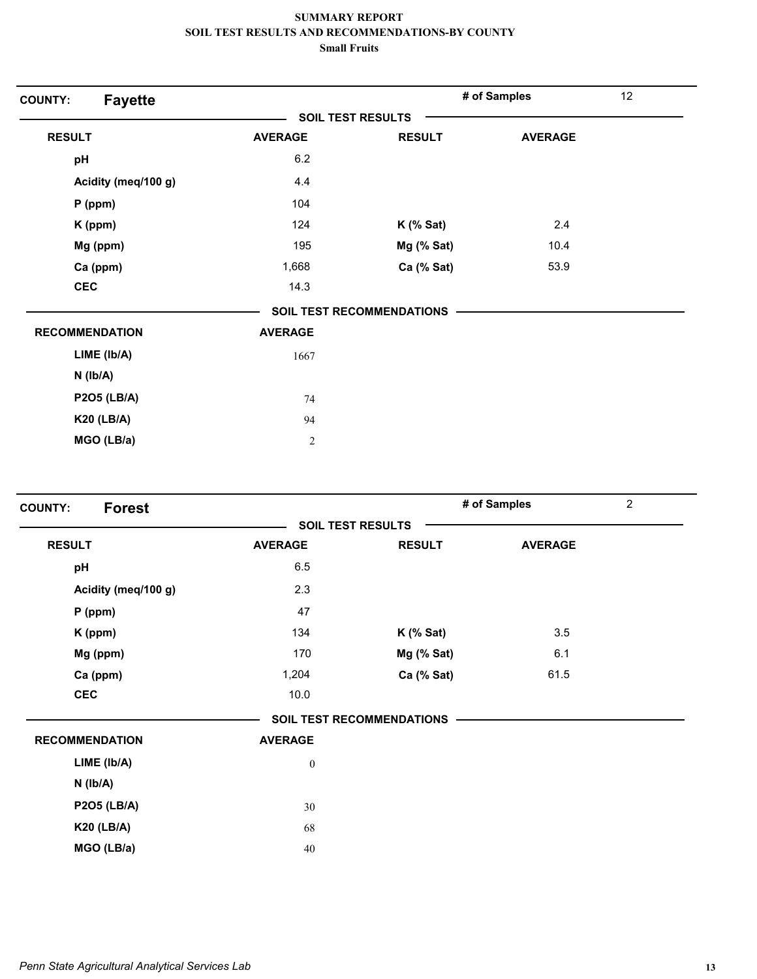| <b>SOIL TEST RESULTS</b><br><b>RESULT</b><br><b>AVERAGE</b><br><b>RESULT</b><br><b>AVERAGE</b><br>6.2<br>pH<br>Acidity (meq/100 g)<br>4.4<br>104<br>$P$ (ppm)<br>124<br>2.4<br>$K$ (% Sat)<br>K (ppm)<br>Mg (ppm)<br>195<br>10.4<br>Mg (% Sat)<br>53.9<br>Ca (ppm)<br>1,668<br>Ca (% Sat)<br><b>CEC</b><br>14.3<br><b>SOIL TEST RECOMMENDATIONS</b><br><b>RECOMMENDATION</b><br><b>AVERAGE</b><br>LIME (Ib/A)<br>1667<br>$N$ ( $Ib/A$ )<br><b>P2O5 (LB/A)</b><br>74<br><b>K20 (LB/A)</b><br>94 | <b>Fayette</b><br><b>COUNTY:</b> |                | # of Samples | 12 |
|------------------------------------------------------------------------------------------------------------------------------------------------------------------------------------------------------------------------------------------------------------------------------------------------------------------------------------------------------------------------------------------------------------------------------------------------------------------------------------------------|----------------------------------|----------------|--------------|----|
|                                                                                                                                                                                                                                                                                                                                                                                                                                                                                                |                                  |                |              |    |
|                                                                                                                                                                                                                                                                                                                                                                                                                                                                                                |                                  |                |              |    |
|                                                                                                                                                                                                                                                                                                                                                                                                                                                                                                |                                  |                |              |    |
|                                                                                                                                                                                                                                                                                                                                                                                                                                                                                                |                                  |                |              |    |
|                                                                                                                                                                                                                                                                                                                                                                                                                                                                                                |                                  |                |              |    |
|                                                                                                                                                                                                                                                                                                                                                                                                                                                                                                |                                  |                |              |    |
|                                                                                                                                                                                                                                                                                                                                                                                                                                                                                                |                                  |                |              |    |
|                                                                                                                                                                                                                                                                                                                                                                                                                                                                                                |                                  |                |              |    |
|                                                                                                                                                                                                                                                                                                                                                                                                                                                                                                |                                  |                |              |    |
|                                                                                                                                                                                                                                                                                                                                                                                                                                                                                                |                                  |                |              |    |
|                                                                                                                                                                                                                                                                                                                                                                                                                                                                                                |                                  |                |              |    |
|                                                                                                                                                                                                                                                                                                                                                                                                                                                                                                |                                  |                |              |    |
|                                                                                                                                                                                                                                                                                                                                                                                                                                                                                                |                                  |                |              |    |
|                                                                                                                                                                                                                                                                                                                                                                                                                                                                                                |                                  |                |              |    |
|                                                                                                                                                                                                                                                                                                                                                                                                                                                                                                |                                  |                |              |    |
|                                                                                                                                                                                                                                                                                                                                                                                                                                                                                                | MGO (LB/a)                       | $\overline{2}$ |              |    |

| <b>Forest</b><br><b>COUNTY:</b> |                          |                                  | # of Samples   | $\overline{2}$ |
|---------------------------------|--------------------------|----------------------------------|----------------|----------------|
|                                 | <b>SOIL TEST RESULTS</b> |                                  |                |                |
| <b>RESULT</b>                   | <b>AVERAGE</b>           | <b>RESULT</b>                    | <b>AVERAGE</b> |                |
| pH                              | 6.5                      |                                  |                |                |
| Acidity (meq/100 g)             | 2.3                      |                                  |                |                |
| $P$ (ppm)                       | 47                       |                                  |                |                |
| K (ppm)                         | 134                      | $K$ (% Sat)                      | 3.5            |                |
| Mg (ppm)                        | 170                      | Mg (% Sat)                       | 6.1            |                |
| Ca (ppm)                        | 1,204                    | Ca (% Sat)                       | 61.5           |                |
| <b>CEC</b>                      | 10.0                     |                                  |                |                |
|                                 |                          | <b>SOIL TEST RECOMMENDATIONS</b> |                |                |
| <b>RECOMMENDATION</b>           | <b>AVERAGE</b>           |                                  |                |                |
| LIME (lb/A)                     | $\boldsymbol{0}$         |                                  |                |                |
| $N$ ( $lb/A$ )                  |                          |                                  |                |                |
| <b>P2O5 (LB/A)</b>              | 30                       |                                  |                |                |
| <b>K20 (LB/A)</b>               | 68                       |                                  |                |                |
| MGO (LB/a)                      | 40                       |                                  |                |                |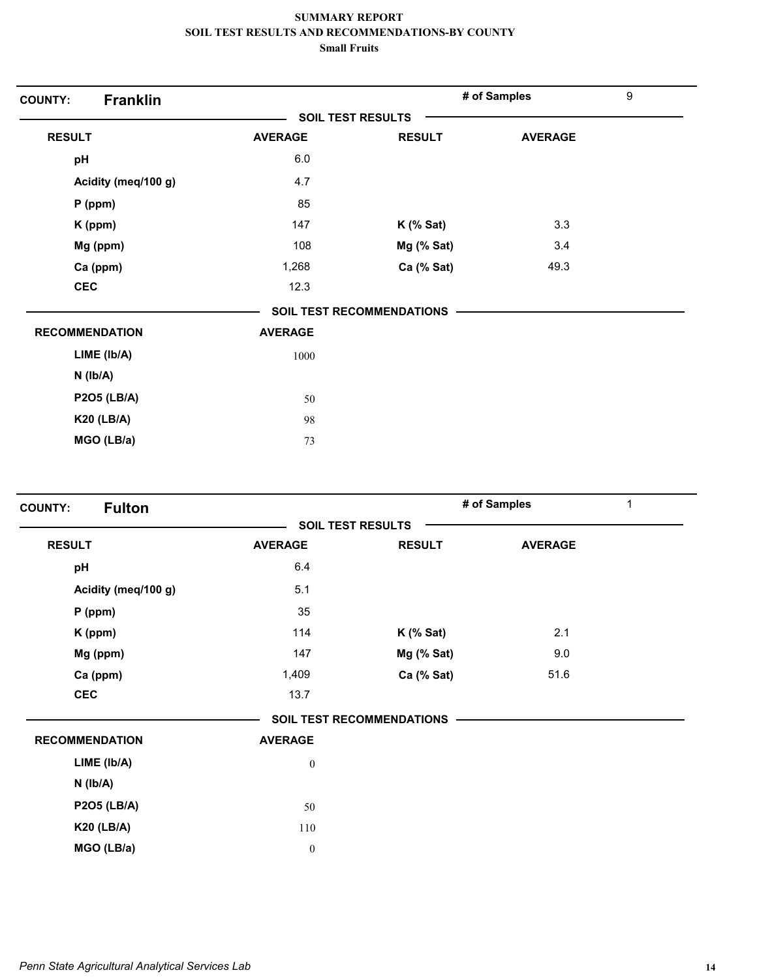| <b>COUNTY:</b>        | <b>Franklin</b>     |                |                           | # of Samples   | $\boldsymbol{9}$ |
|-----------------------|---------------------|----------------|---------------------------|----------------|------------------|
|                       |                     |                | <b>SOIL TEST RESULTS</b>  |                |                  |
| <b>RESULT</b>         |                     | <b>AVERAGE</b> | <b>RESULT</b>             | <b>AVERAGE</b> |                  |
| pH                    |                     | 6.0            |                           |                |                  |
|                       | Acidity (meq/100 g) | 4.7            |                           |                |                  |
| $P$ (ppm)             |                     | 85             |                           |                |                  |
| K (ppm)               |                     | 147            | $K$ (% Sat)               | 3.3            |                  |
| Mg (ppm)              |                     | 108            | Mg (% Sat)                | 3.4            |                  |
| Ca (ppm)              |                     | 1,268          | Ca (% Sat)                | 49.3           |                  |
| <b>CEC</b>            |                     | 12.3           |                           |                |                  |
|                       |                     |                | SOIL TEST RECOMMENDATIONS |                |                  |
| <b>RECOMMENDATION</b> |                     | <b>AVERAGE</b> |                           |                |                  |
| LIME (lb/A)           |                     | 1000           |                           |                |                  |
| $N$ ( $lb/A$ )        |                     |                |                           |                |                  |
|                       | <b>P2O5 (LB/A)</b>  | 50             |                           |                |                  |
| <b>K20 (LB/A)</b>     |                     | 98             |                           |                |                  |
|                       | MGO (LB/a)          | 73             |                           |                |                  |
|                       |                     |                |                           |                |                  |

| <b>Fulton</b><br><b>COUNTY:</b> |                  |                                  | # of Samples   | 1 |
|---------------------------------|------------------|----------------------------------|----------------|---|
|                                 |                  | <b>SOIL TEST RESULTS</b>         |                |   |
| <b>RESULT</b>                   | <b>AVERAGE</b>   | <b>RESULT</b>                    | <b>AVERAGE</b> |   |
| pH                              | 6.4              |                                  |                |   |
| Acidity (meq/100 g)             | 5.1              |                                  |                |   |
| $P$ (ppm)                       | 35               |                                  |                |   |
| K (ppm)                         | 114              | $K$ (% Sat)                      | 2.1            |   |
| Mg (ppm)                        | 147              | Mg (% Sat)                       | 9.0            |   |
| Ca (ppm)                        | 1,409            | Ca (% Sat)                       | 51.6           |   |
| <b>CEC</b>                      | 13.7             |                                  |                |   |
|                                 |                  | <b>SOIL TEST RECOMMENDATIONS</b> |                |   |
| <b>RECOMMENDATION</b>           | <b>AVERAGE</b>   |                                  |                |   |
| LIME (Ib/A)                     | $\boldsymbol{0}$ |                                  |                |   |
| $N$ ( $Ib/A$ )                  |                  |                                  |                |   |
| <b>P2O5 (LB/A)</b>              | 50               |                                  |                |   |
| <b>K20 (LB/A)</b>               | 110              |                                  |                |   |
| MGO (LB/a)                      | $\boldsymbol{0}$ |                                  |                |   |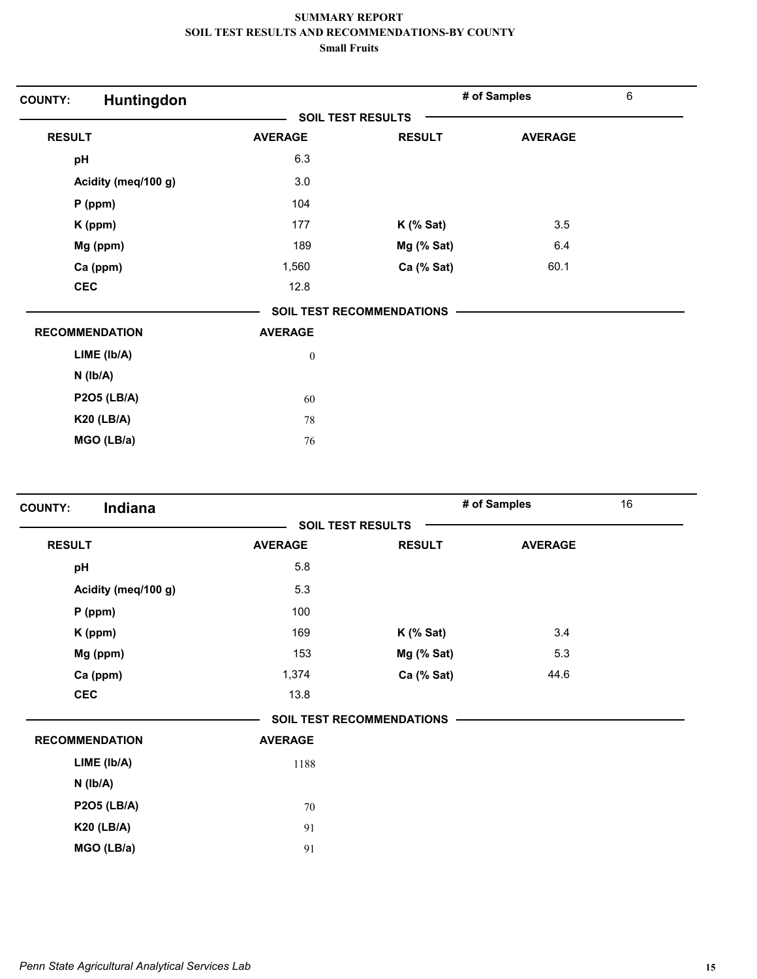| Huntingdon<br><b>COUNTY:</b> |                          |                                  | # of Samples   | $\,6\,$ |
|------------------------------|--------------------------|----------------------------------|----------------|---------|
|                              | <b>SOIL TEST RESULTS</b> |                                  |                |         |
| <b>RESULT</b>                | <b>AVERAGE</b>           | <b>RESULT</b>                    | <b>AVERAGE</b> |         |
| pH                           | 6.3                      |                                  |                |         |
| Acidity (meq/100 g)          | 3.0                      |                                  |                |         |
| P (ppm)                      | 104                      |                                  |                |         |
| K (ppm)                      | 177                      | $K$ (% Sat)                      | 3.5            |         |
| Mg (ppm)                     | 189                      | Mg (% Sat)                       | 6.4            |         |
| Ca (ppm)                     | 1,560                    | Ca (% Sat)                       | 60.1           |         |
| <b>CEC</b>                   | 12.8                     |                                  |                |         |
|                              |                          | <b>SOIL TEST RECOMMENDATIONS</b> |                |         |
| <b>RECOMMENDATION</b>        | <b>AVERAGE</b>           |                                  |                |         |
| LIME (Ib/A)                  | $\boldsymbol{0}$         |                                  |                |         |
| $N$ ( $lb/A$ )               |                          |                                  |                |         |
| <b>P2O5 (LB/A)</b>           | 60                       |                                  |                |         |
| <b>K20 (LB/A)</b>            | 78                       |                                  |                |         |
| MGO (LB/a)                   | 76                       |                                  |                |         |

| Indiana<br><b>COUNTY:</b> |                          |                                  | # of Samples   | 16 |
|---------------------------|--------------------------|----------------------------------|----------------|----|
|                           | <b>SOIL TEST RESULTS</b> |                                  |                |    |
| <b>RESULT</b>             | <b>AVERAGE</b>           | <b>RESULT</b>                    | <b>AVERAGE</b> |    |
| pH                        | 5.8                      |                                  |                |    |
| Acidity (meq/100 g)       | 5.3                      |                                  |                |    |
| $P$ (ppm)                 | 100                      |                                  |                |    |
| K (ppm)                   | 169                      | $K$ (% Sat)                      | 3.4            |    |
| Mg (ppm)                  | 153                      | Mg (% Sat)                       | 5.3            |    |
| Ca (ppm)                  | 1,374                    | Ca (% Sat)                       | 44.6           |    |
| <b>CEC</b>                | 13.8                     |                                  |                |    |
|                           |                          | <b>SOIL TEST RECOMMENDATIONS</b> |                |    |
| <b>RECOMMENDATION</b>     | <b>AVERAGE</b>           |                                  |                |    |
| LIME (Ib/A)               | 1188                     |                                  |                |    |
| $N$ ( $Ib/A$ )            |                          |                                  |                |    |
| <b>P2O5 (LB/A)</b>        | 70                       |                                  |                |    |
| <b>K20 (LB/A)</b>         | 91                       |                                  |                |    |
| MGO (LB/a)                | 91                       |                                  |                |    |
|                           |                          |                                  |                |    |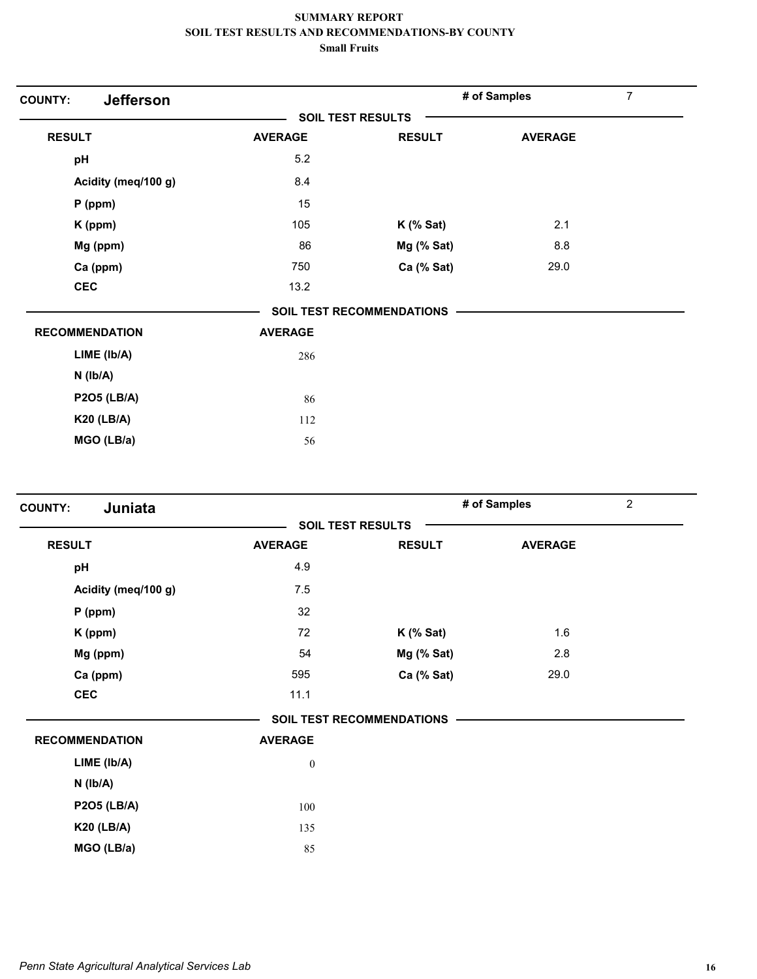| <b>Jefferson</b><br><b>COUNTY:</b> |                |                                  | # of Samples   | $\overline{7}$ |
|------------------------------------|----------------|----------------------------------|----------------|----------------|
|                                    |                | <b>SOIL TEST RESULTS</b>         |                |                |
| <b>RESULT</b>                      | <b>AVERAGE</b> | <b>RESULT</b>                    | <b>AVERAGE</b> |                |
| pH                                 | 5.2            |                                  |                |                |
| Acidity (meq/100 g)                | 8.4            |                                  |                |                |
| P (ppm)                            | 15             |                                  |                |                |
| K (ppm)                            | 105            | $K$ (% Sat)                      | 2.1            |                |
| Mg (ppm)                           | 86             | Mg (% Sat)                       | 8.8            |                |
| Ca (ppm)                           | 750            | Ca (% Sat)                       | 29.0           |                |
| <b>CEC</b>                         | 13.2           |                                  |                |                |
|                                    |                | <b>SOIL TEST RECOMMENDATIONS</b> |                |                |
| <b>RECOMMENDATION</b>              | <b>AVERAGE</b> |                                  |                |                |
| LIME (lb/A)                        | 286            |                                  |                |                |
| $N$ ( $lb/A$ )                     |                |                                  |                |                |
| <b>P2O5 (LB/A)</b>                 | 86             |                                  |                |                |
| <b>K20 (LB/A)</b>                  | 112            |                                  |                |                |
| MGO (LB/a)                         | 56             |                                  |                |                |
|                                    |                |                                  |                |                |

| Juniata<br><b>COUNTY:</b> |                  |                           | # of Samples   | $\overline{2}$ |
|---------------------------|------------------|---------------------------|----------------|----------------|
|                           |                  | <b>SOIL TEST RESULTS</b>  |                |                |
| <b>RESULT</b>             | <b>AVERAGE</b>   | <b>RESULT</b>             | <b>AVERAGE</b> |                |
| pH                        | 4.9              |                           |                |                |
| Acidity (meq/100 g)       | 7.5              |                           |                |                |
| $P$ (ppm)                 | 32               |                           |                |                |
| K (ppm)                   | 72               | $K$ (% Sat)               | 1.6            |                |
| Mg (ppm)                  | 54               | Mg (% Sat)                | 2.8            |                |
| Ca (ppm)                  | 595              | Ca (% Sat)                | 29.0           |                |
| <b>CEC</b>                | 11.1             |                           |                |                |
|                           |                  | SOIL TEST RECOMMENDATIONS |                |                |
| <b>RECOMMENDATION</b>     | <b>AVERAGE</b>   |                           |                |                |
| LIME (Ib/A)               | $\boldsymbol{0}$ |                           |                |                |
| $N$ ( $Ib/A$ )            |                  |                           |                |                |
| <b>P2O5 (LB/A)</b>        | 100              |                           |                |                |
| <b>K20 (LB/A)</b>         | 135              |                           |                |                |
| MGO (LB/a)                | 85               |                           |                |                |
|                           |                  |                           |                |                |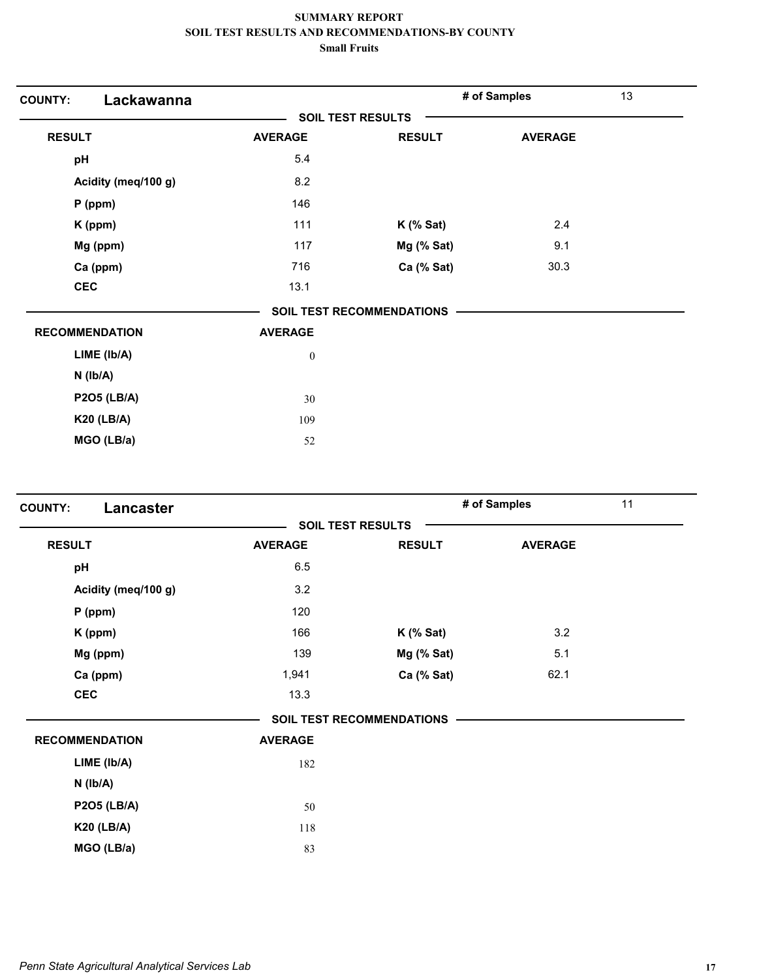| Lackawanna<br><b>COUNTY:</b> |                          |                                  | # of Samples   | 13 |
|------------------------------|--------------------------|----------------------------------|----------------|----|
|                              | <b>SOIL TEST RESULTS</b> |                                  |                |    |
| <b>RESULT</b>                | <b>AVERAGE</b>           | <b>RESULT</b>                    | <b>AVERAGE</b> |    |
| pH                           | 5.4                      |                                  |                |    |
| Acidity (meq/100 g)          | 8.2                      |                                  |                |    |
| $P$ (ppm)                    | 146                      |                                  |                |    |
| K (ppm)                      | 111                      | $K$ (% Sat)                      | 2.4            |    |
| Mg (ppm)                     | 117                      | Mg (% Sat)                       | 9.1            |    |
| Ca (ppm)                     | 716                      | Ca (% Sat)                       | 30.3           |    |
| <b>CEC</b>                   | 13.1                     |                                  |                |    |
|                              |                          | <b>SOIL TEST RECOMMENDATIONS</b> |                |    |
| <b>RECOMMENDATION</b>        | <b>AVERAGE</b>           |                                  |                |    |
| LIME (lb/A)                  | $\boldsymbol{0}$         |                                  |                |    |
| $N$ ( $Ib/A$ )               |                          |                                  |                |    |
| <b>P2O5 (LB/A)</b>           | 30                       |                                  |                |    |
| <b>K20 (LB/A)</b>            | 109                      |                                  |                |    |
| MGO (LB/a)                   | 52                       |                                  |                |    |

| Lancaster<br><b>COUNTY:</b> |                |                                  | # of Samples   | 11 |
|-----------------------------|----------------|----------------------------------|----------------|----|
|                             |                | <b>SOIL TEST RESULTS</b>         |                |    |
| <b>RESULT</b>               | <b>AVERAGE</b> | <b>RESULT</b>                    | <b>AVERAGE</b> |    |
| pH                          | 6.5            |                                  |                |    |
| Acidity (meq/100 g)         | 3.2            |                                  |                |    |
| $P$ (ppm)                   | 120            |                                  |                |    |
| K (ppm)                     | 166            | $K$ (% Sat)                      | 3.2            |    |
| Mg (ppm)                    | 139            | Mg (% Sat)                       | 5.1            |    |
| Ca (ppm)                    | 1,941          | Ca (% Sat)                       | 62.1           |    |
| <b>CEC</b>                  | 13.3           |                                  |                |    |
|                             |                | <b>SOIL TEST RECOMMENDATIONS</b> |                |    |
| <b>RECOMMENDATION</b>       | <b>AVERAGE</b> |                                  |                |    |
| LIME (Ib/A)                 | 182            |                                  |                |    |
| $N$ ( $Ib/A$ )              |                |                                  |                |    |
| <b>P2O5 (LB/A)</b>          | 50             |                                  |                |    |
| <b>K20 (LB/A)</b>           | 118            |                                  |                |    |
| MGO (LB/a)                  | 83             |                                  |                |    |
|                             |                |                                  |                |    |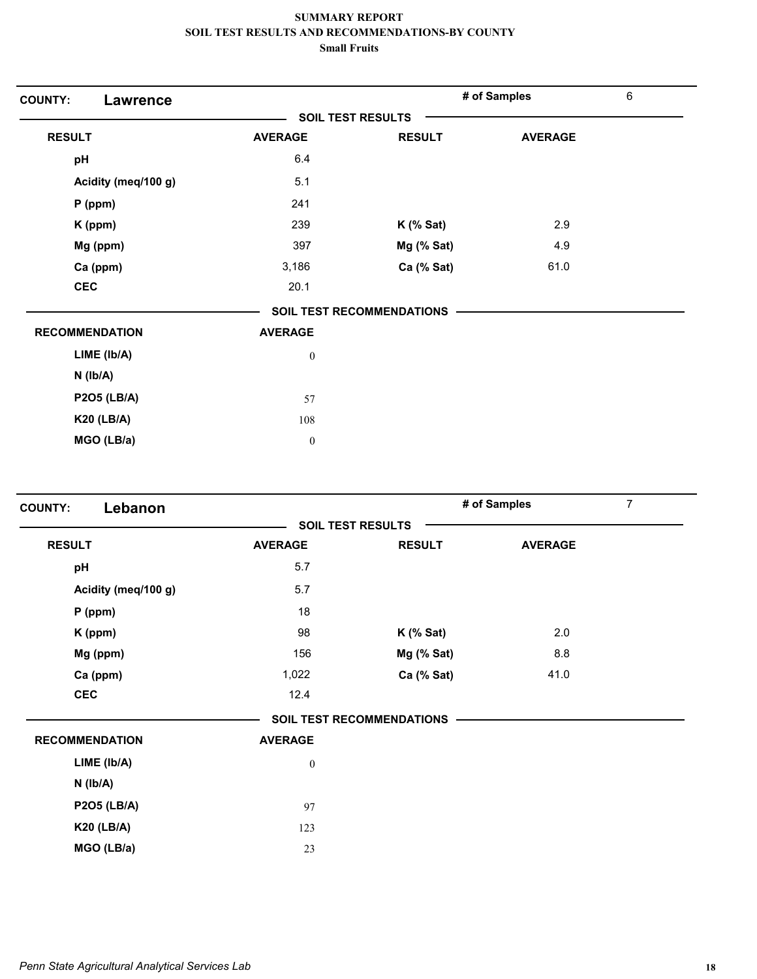| <b>COUNTY:</b><br><b>Lawrence</b> |                  |                           | # of Samples   | $\,6\,$ |
|-----------------------------------|------------------|---------------------------|----------------|---------|
|                                   |                  | <b>SOIL TEST RESULTS</b>  |                |         |
| <b>RESULT</b>                     | <b>AVERAGE</b>   | <b>RESULT</b>             | <b>AVERAGE</b> |         |
| pH                                | 6.4              |                           |                |         |
| Acidity (meq/100 g)               | 5.1              |                           |                |         |
| $P$ (ppm)                         | 241              |                           |                |         |
| K (ppm)                           | 239              | $K$ (% Sat)               | 2.9            |         |
| Mg (ppm)                          | 397              | Mg (% Sat)                | 4.9            |         |
| Ca (ppm)                          | 3,186            | Ca (% Sat)                | 61.0           |         |
| <b>CEC</b>                        | 20.1             |                           |                |         |
|                                   |                  | SOIL TEST RECOMMENDATIONS |                |         |
| <b>RECOMMENDATION</b>             | <b>AVERAGE</b>   |                           |                |         |
| LIME (Ib/A)                       | $\boldsymbol{0}$ |                           |                |         |
| $N$ ( $lb/A$ )                    |                  |                           |                |         |
| <b>P2O5 (LB/A)</b>                | 57               |                           |                |         |
| <b>K20 (LB/A)</b>                 | 108              |                           |                |         |
| MGO (LB/a)                        | $\boldsymbol{0}$ |                           |                |         |

| Lebanon<br><b>COUNTY:</b> |                  |                           | $\overline{7}$<br># of Samples |  |  |
|---------------------------|------------------|---------------------------|--------------------------------|--|--|
|                           |                  | <b>SOIL TEST RESULTS</b>  |                                |  |  |
| <b>RESULT</b>             | <b>AVERAGE</b>   | <b>RESULT</b>             | <b>AVERAGE</b>                 |  |  |
| pH                        | 5.7              |                           |                                |  |  |
| Acidity (meq/100 g)       | 5.7              |                           |                                |  |  |
| $P$ (ppm)                 | 18               |                           |                                |  |  |
| K (ppm)                   | 98               | $K$ (% Sat)               | 2.0                            |  |  |
| Mg (ppm)                  | 156              | Mg (% Sat)                | 8.8                            |  |  |
| Ca (ppm)                  | 1,022            | Ca (% Sat)                | 41.0                           |  |  |
| <b>CEC</b>                | 12.4             |                           |                                |  |  |
|                           |                  | SOIL TEST RECOMMENDATIONS |                                |  |  |
| <b>RECOMMENDATION</b>     | <b>AVERAGE</b>   |                           |                                |  |  |
| LIME (Ib/A)               | $\boldsymbol{0}$ |                           |                                |  |  |
| $N$ ( $Ib/A$ )            |                  |                           |                                |  |  |
| <b>P2O5 (LB/A)</b>        | 97               |                           |                                |  |  |
| <b>K20 (LB/A)</b>         | 123              |                           |                                |  |  |
| MGO (LB/a)                | 23               |                           |                                |  |  |
|                           |                  |                           |                                |  |  |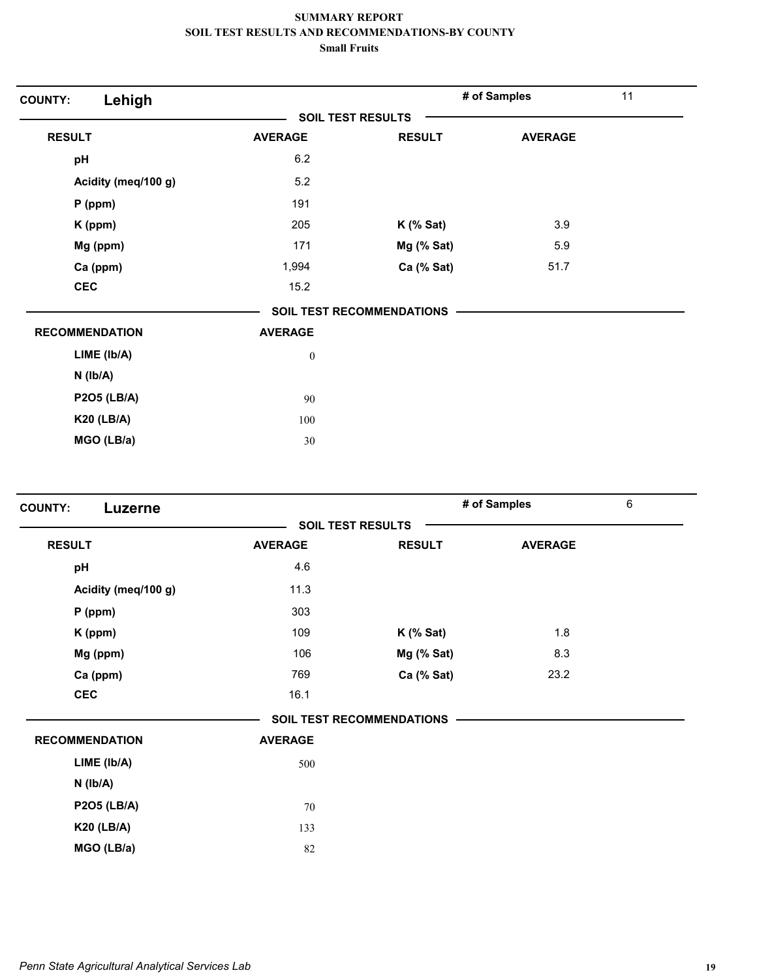| Lehigh<br><b>COUNTY:</b> |                          |                                  | # of Samples   | 11 |
|--------------------------|--------------------------|----------------------------------|----------------|----|
|                          | <b>SOIL TEST RESULTS</b> |                                  |                |    |
| <b>RESULT</b>            | <b>AVERAGE</b>           | <b>RESULT</b>                    | <b>AVERAGE</b> |    |
| pH                       | 6.2                      |                                  |                |    |
| Acidity (meq/100 g)      | 5.2                      |                                  |                |    |
| $P$ (ppm)                | 191                      |                                  |                |    |
| K (ppm)                  | 205                      | $K$ (% Sat)                      | 3.9            |    |
| Mg (ppm)                 | 171                      | Mg (% Sat)                       | 5.9            |    |
| Ca (ppm)                 | 1,994                    | Ca (% Sat)                       | 51.7           |    |
| <b>CEC</b>               | 15.2                     |                                  |                |    |
|                          |                          | <b>SOIL TEST RECOMMENDATIONS</b> |                |    |
| <b>RECOMMENDATION</b>    | <b>AVERAGE</b>           |                                  |                |    |
| LIME (Ib/A)              | $\boldsymbol{0}$         |                                  |                |    |
| $N$ ( $Ib/A$ )           |                          |                                  |                |    |
| <b>P2O5 (LB/A)</b>       | 90                       |                                  |                |    |
| <b>K20 (LB/A)</b>        | 100                      |                                  |                |    |
| MGO (LB/a)               | 30                       |                                  |                |    |

| <b>COUNTY:</b><br>Luzerne |                |                                  | # of Samples   | 6 |  |
|---------------------------|----------------|----------------------------------|----------------|---|--|
|                           |                | <b>SOIL TEST RESULTS</b>         |                |   |  |
| <b>RESULT</b>             | <b>AVERAGE</b> | <b>RESULT</b>                    | <b>AVERAGE</b> |   |  |
| pH                        | 4.6            |                                  |                |   |  |
| Acidity (meq/100 g)       | 11.3           |                                  |                |   |  |
| $P$ (ppm)                 | 303            |                                  |                |   |  |
| K (ppm)                   | 109            | $K$ (% Sat)                      | 1.8            |   |  |
| Mg (ppm)                  | 106            | Mg (% Sat)                       | 8.3            |   |  |
| Ca (ppm)                  | 769            | Ca (% Sat)                       | 23.2           |   |  |
| <b>CEC</b>                | 16.1           |                                  |                |   |  |
|                           |                | <b>SOIL TEST RECOMMENDATIONS</b> |                |   |  |
| <b>RECOMMENDATION</b>     | <b>AVERAGE</b> |                                  |                |   |  |
| LIME (Ib/A)               | 500            |                                  |                |   |  |
| $N$ ( $Ib/A$ )            |                |                                  |                |   |  |
| <b>P2O5 (LB/A)</b>        | 70             |                                  |                |   |  |
| <b>K20 (LB/A)</b>         | 133            |                                  |                |   |  |
| MGO (LB/a)                | 82             |                                  |                |   |  |
|                           |                |                                  |                |   |  |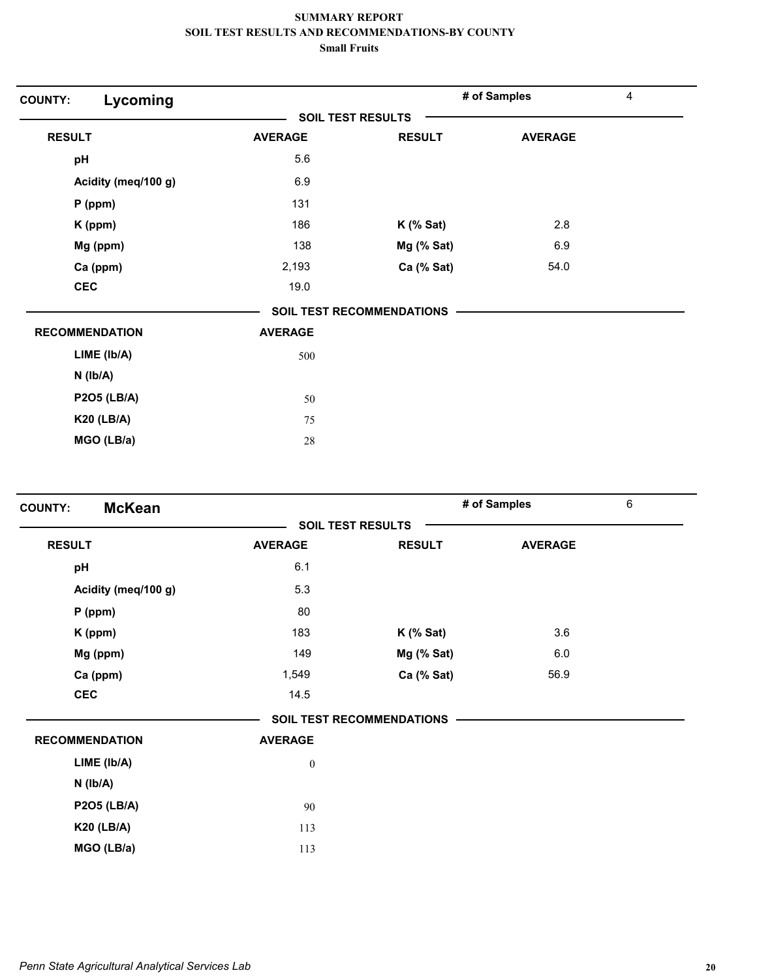| Lycoming<br><b>COUNTY:</b> |                |                           | # of Samples   | 4 |  |
|----------------------------|----------------|---------------------------|----------------|---|--|
|                            |                | <b>SOIL TEST RESULTS</b>  |                |   |  |
| <b>RESULT</b>              | <b>AVERAGE</b> | <b>RESULT</b>             | <b>AVERAGE</b> |   |  |
| pH                         | 5.6            |                           |                |   |  |
| Acidity (meq/100 g)        | 6.9            |                           |                |   |  |
| $P$ (ppm)                  | 131            |                           |                |   |  |
| K (ppm)                    | 186            | $K$ (% Sat)               | 2.8            |   |  |
| Mg (ppm)                   | 138            | Mg (% Sat)                | 6.9            |   |  |
| Ca (ppm)                   | 2,193          | Ca (% Sat)                | 54.0           |   |  |
| <b>CEC</b>                 | 19.0           |                           |                |   |  |
|                            |                | SOIL TEST RECOMMENDATIONS |                |   |  |
| <b>RECOMMENDATION</b>      | <b>AVERAGE</b> |                           |                |   |  |
| LIME (Ib/A)                | 500            |                           |                |   |  |
| $N$ ( $lb/A$ )             |                |                           |                |   |  |
| <b>P2O5 (LB/A)</b>         | 50             |                           |                |   |  |
| <b>K20 (LB/A)</b>          | 75             |                           |                |   |  |
| MGO (LB/a)                 | 28             |                           |                |   |  |

| <b>McKean</b><br><b>COUNTY:</b> |                  |                           | # of Samples   |  |  |
|---------------------------------|------------------|---------------------------|----------------|--|--|
|                                 |                  | <b>SOIL TEST RESULTS</b>  |                |  |  |
| <b>RESULT</b>                   | <b>AVERAGE</b>   | <b>RESULT</b>             | <b>AVERAGE</b> |  |  |
| pH                              | 6.1              |                           |                |  |  |
| Acidity (meq/100 g)             | 5.3              |                           |                |  |  |
| $P$ (ppm)                       | 80               |                           |                |  |  |
| K (ppm)                         | 183              | $K$ (% Sat)               | 3.6            |  |  |
| Mg (ppm)                        | 149              | Mg (% Sat)                | 6.0            |  |  |
| Ca (ppm)                        | 1,549            | Ca (% Sat)                | 56.9           |  |  |
| <b>CEC</b>                      | 14.5             |                           |                |  |  |
|                                 |                  | SOIL TEST RECOMMENDATIONS |                |  |  |
| <b>RECOMMENDATION</b>           | <b>AVERAGE</b>   |                           |                |  |  |
| LIME (Ib/A)                     | $\boldsymbol{0}$ |                           |                |  |  |
| $N$ ( $lb/A$ )                  |                  |                           |                |  |  |
| <b>P2O5 (LB/A)</b>              | 90               |                           |                |  |  |
| <b>K20 (LB/A)</b>               | 113              |                           |                |  |  |
| MGO (LB/a)                      | 113              |                           |                |  |  |
|                                 |                  |                           |                |  |  |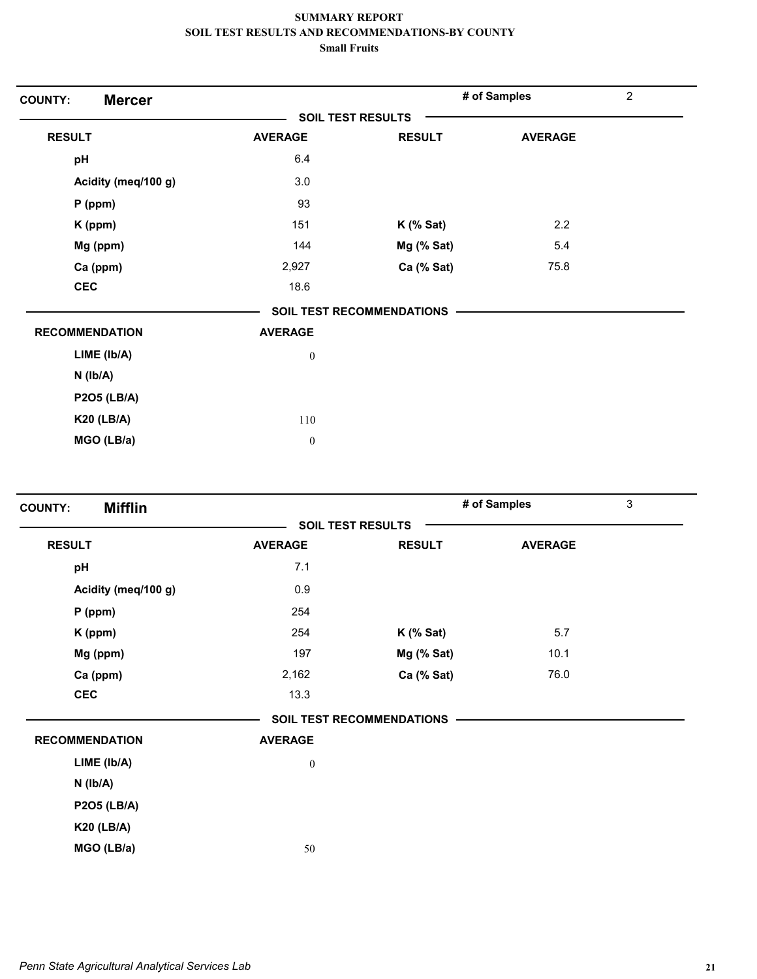| <b>Mercer</b><br><b>COUNTY:</b> |                          |                                  | # of Samples   | $\overline{c}$ |  |
|---------------------------------|--------------------------|----------------------------------|----------------|----------------|--|
|                                 | <b>SOIL TEST RESULTS</b> |                                  |                |                |  |
| <b>RESULT</b>                   | <b>AVERAGE</b>           | <b>RESULT</b>                    | <b>AVERAGE</b> |                |  |
| pH                              | 6.4                      |                                  |                |                |  |
| Acidity (meq/100 g)             | 3.0                      |                                  |                |                |  |
| $P$ (ppm)                       | 93                       |                                  |                |                |  |
| K (ppm)                         | 151                      | $K$ (% Sat)                      | 2.2            |                |  |
| Mg (ppm)                        | 144                      | Mg (% Sat)                       | 5.4            |                |  |
| Ca (ppm)                        | 2,927                    | Ca (% Sat)                       | 75.8           |                |  |
| <b>CEC</b>                      | 18.6                     |                                  |                |                |  |
|                                 |                          | <b>SOIL TEST RECOMMENDATIONS</b> |                |                |  |
| <b>RECOMMENDATION</b>           | <b>AVERAGE</b>           |                                  |                |                |  |
| LIME (Ib/A)                     | $\boldsymbol{0}$         |                                  |                |                |  |
| $N$ ( $Ib/A$ )                  |                          |                                  |                |                |  |
| <b>P2O5 (LB/A)</b>              |                          |                                  |                |                |  |
| <b>K20 (LB/A)</b>               | 110                      |                                  |                |                |  |
| MGO (LB/a)                      | $\boldsymbol{0}$         |                                  |                |                |  |

| <b>Mifflin</b><br><b>COUNTY:</b> |                  |                                  | # of Samples   | 3 |
|----------------------------------|------------------|----------------------------------|----------------|---|
|                                  |                  | <b>SOIL TEST RESULTS</b>         |                |   |
| <b>RESULT</b>                    | <b>AVERAGE</b>   | <b>RESULT</b>                    | <b>AVERAGE</b> |   |
| pH                               | 7.1              |                                  |                |   |
| Acidity (meq/100 g)              | 0.9              |                                  |                |   |
| $P$ (ppm)                        | 254              |                                  |                |   |
| K (ppm)                          | 254              | $K$ (% Sat)                      | 5.7            |   |
| Mg (ppm)                         | 197              | Mg (% Sat)                       | 10.1           |   |
| Ca (ppm)                         | 2,162            | Ca (% Sat)                       | 76.0           |   |
| <b>CEC</b>                       | 13.3             |                                  |                |   |
|                                  |                  | <b>SOIL TEST RECOMMENDATIONS</b> |                |   |
| <b>RECOMMENDATION</b>            | <b>AVERAGE</b>   |                                  |                |   |
| LIME (Ib/A)                      | $\boldsymbol{0}$ |                                  |                |   |
| $N$ ( $Ib/A$ )                   |                  |                                  |                |   |
| <b>P2O5 (LB/A)</b>               |                  |                                  |                |   |
| <b>K20 (LB/A)</b>                |                  |                                  |                |   |
| MGO (LB/a)                       | 50               |                                  |                |   |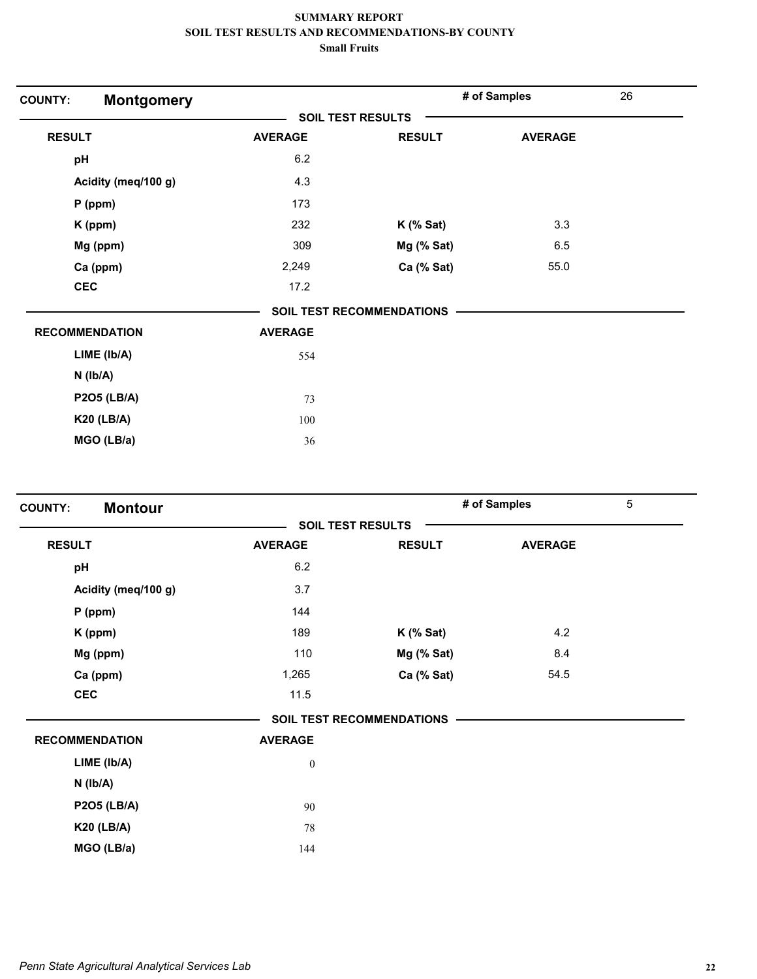| <b>Montgomery</b><br><b>COUNTY:</b> |                |                                  | # of Samples   | 26 |  |
|-------------------------------------|----------------|----------------------------------|----------------|----|--|
|                                     |                | <b>SOIL TEST RESULTS</b>         |                |    |  |
| <b>RESULT</b>                       | <b>AVERAGE</b> | <b>RESULT</b>                    | <b>AVERAGE</b> |    |  |
| pH                                  | 6.2            |                                  |                |    |  |
| Acidity (meq/100 g)                 | 4.3            |                                  |                |    |  |
| $P$ (ppm)                           | 173            |                                  |                |    |  |
| K (ppm)                             | 232            | $K$ (% Sat)                      | 3.3            |    |  |
| Mg (ppm)                            | 309            | Mg (% Sat)                       | 6.5            |    |  |
| Ca (ppm)                            | 2,249          | Ca (% Sat)                       | 55.0           |    |  |
| <b>CEC</b>                          | 17.2           |                                  |                |    |  |
|                                     |                | <b>SOIL TEST RECOMMENDATIONS</b> |                |    |  |
| <b>RECOMMENDATION</b>               | <b>AVERAGE</b> |                                  |                |    |  |
| LIME (Ib/A)                         | 554            |                                  |                |    |  |
| $N$ ( $Ib/A$ )                      |                |                                  |                |    |  |
| <b>P2O5 (LB/A)</b>                  | 73             |                                  |                |    |  |
| <b>K20 (LB/A)</b>                   | 100            |                                  |                |    |  |
| MGO (LB/a)                          | 36             |                                  |                |    |  |

| <b>Montour</b><br><b>COUNTY:</b> |                  |                                  | # of Samples   | 5 |
|----------------------------------|------------------|----------------------------------|----------------|---|
|                                  |                  | <b>SOIL TEST RESULTS</b>         |                |   |
| <b>RESULT</b>                    | <b>AVERAGE</b>   | <b>RESULT</b>                    | <b>AVERAGE</b> |   |
| pH                               | 6.2              |                                  |                |   |
| Acidity (meq/100 g)              | 3.7              |                                  |                |   |
| $P$ (ppm)                        | 144              |                                  |                |   |
| K (ppm)                          | 189              | $K$ (% Sat)                      | 4.2            |   |
| Mg (ppm)                         | 110              | Mg (% Sat)                       | 8.4            |   |
| Ca (ppm)                         | 1,265            | Ca (% Sat)                       | 54.5           |   |
| <b>CEC</b>                       | 11.5             |                                  |                |   |
|                                  |                  | <b>SOIL TEST RECOMMENDATIONS</b> |                |   |
| <b>RECOMMENDATION</b>            | <b>AVERAGE</b>   |                                  |                |   |
| LIME (Ib/A)                      | $\boldsymbol{0}$ |                                  |                |   |
| $N$ ( $Ib/A$ )                   |                  |                                  |                |   |
| <b>P2O5 (LB/A)</b>               | 90               |                                  |                |   |
| <b>K20 (LB/A)</b>                | 78               |                                  |                |   |
| MGO (LB/a)                       | 144              |                                  |                |   |
|                                  |                  |                                  |                |   |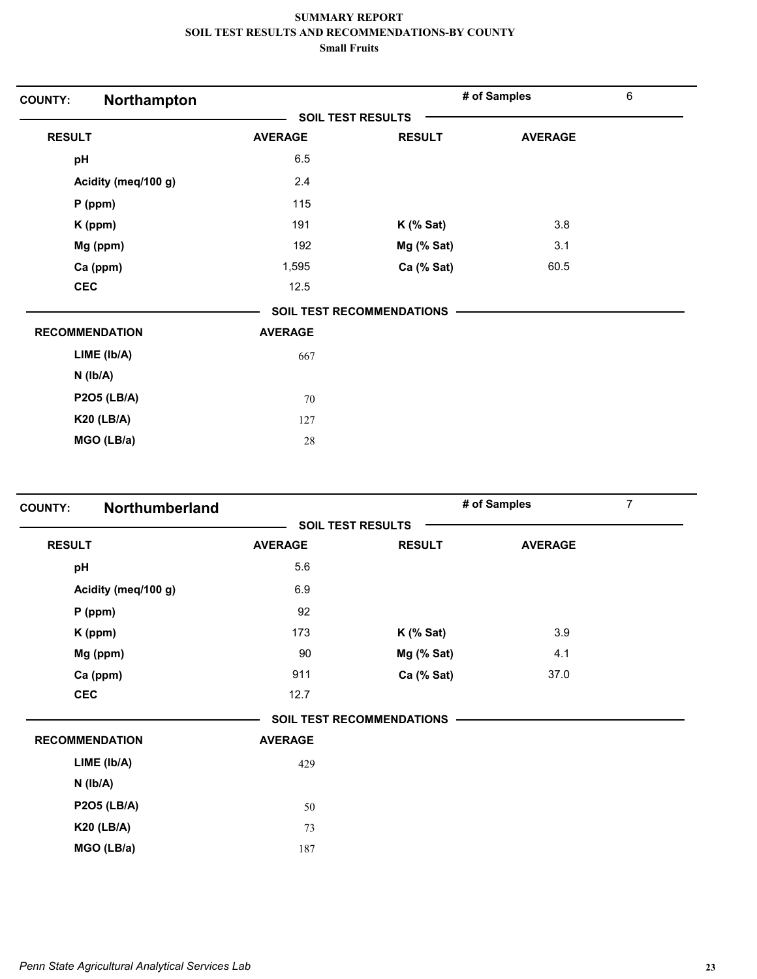| Northampton<br><b>COUNTY:</b> |                |                                  | # of Samples   | $\,6\,$ |
|-------------------------------|----------------|----------------------------------|----------------|---------|
|                               |                | <b>SOIL TEST RESULTS</b>         |                |         |
| <b>RESULT</b>                 | <b>AVERAGE</b> | <b>RESULT</b>                    | <b>AVERAGE</b> |         |
| pH                            | 6.5            |                                  |                |         |
| Acidity (meq/100 g)           | 2.4            |                                  |                |         |
| $P$ (ppm)                     | 115            |                                  |                |         |
| K (ppm)                       | 191            | $K$ (% Sat)                      | 3.8            |         |
| Mg (ppm)                      | 192            | Mg (% Sat)                       | 3.1            |         |
| Ca (ppm)                      | 1,595          | Ca (% Sat)                       | 60.5           |         |
| <b>CEC</b>                    | 12.5           |                                  |                |         |
|                               |                | <b>SOIL TEST RECOMMENDATIONS</b> |                |         |
| <b>RECOMMENDATION</b>         | <b>AVERAGE</b> |                                  |                |         |
| LIME (Ib/A)                   | 667            |                                  |                |         |
| $N$ ( $lb/A$ )                |                |                                  |                |         |
| <b>P2O5 (LB/A)</b>            | 70             |                                  |                |         |
| <b>K20 (LB/A)</b>             | 127            |                                  |                |         |
| MGO (LB/a)                    | 28             |                                  |                |         |

| <b>COUNTY:</b> | Northumberland        |                |                           | # of Samples   | $\overline{7}$ |
|----------------|-----------------------|----------------|---------------------------|----------------|----------------|
|                |                       |                | <b>SOIL TEST RESULTS</b>  |                |                |
| <b>RESULT</b>  |                       | <b>AVERAGE</b> | <b>RESULT</b>             | <b>AVERAGE</b> |                |
| pH             |                       | 5.6            |                           |                |                |
|                | Acidity (meq/100 g)   | 6.9            |                           |                |                |
|                | $P$ (ppm)             | 92             |                           |                |                |
|                | K (ppm)               | 173            | $K$ (% Sat)               | 3.9            |                |
|                | Mg (ppm)              | 90             | Mg (% Sat)                | 4.1            |                |
|                | Ca (ppm)              | 911            | Ca (% Sat)                | 37.0           |                |
|                | <b>CEC</b>            | 12.7           |                           |                |                |
|                |                       |                | SOIL TEST RECOMMENDATIONS |                |                |
|                | <b>RECOMMENDATION</b> | <b>AVERAGE</b> |                           |                |                |
|                | LIME (Ib/A)           | 429            |                           |                |                |
|                | $N$ ( $lb/A$ )        |                |                           |                |                |
|                | <b>P2O5 (LB/A)</b>    | 50             |                           |                |                |
|                | <b>K20 (LB/A)</b>     | 73             |                           |                |                |
|                | MGO (LB/a)            | 187            |                           |                |                |
|                |                       |                |                           |                |                |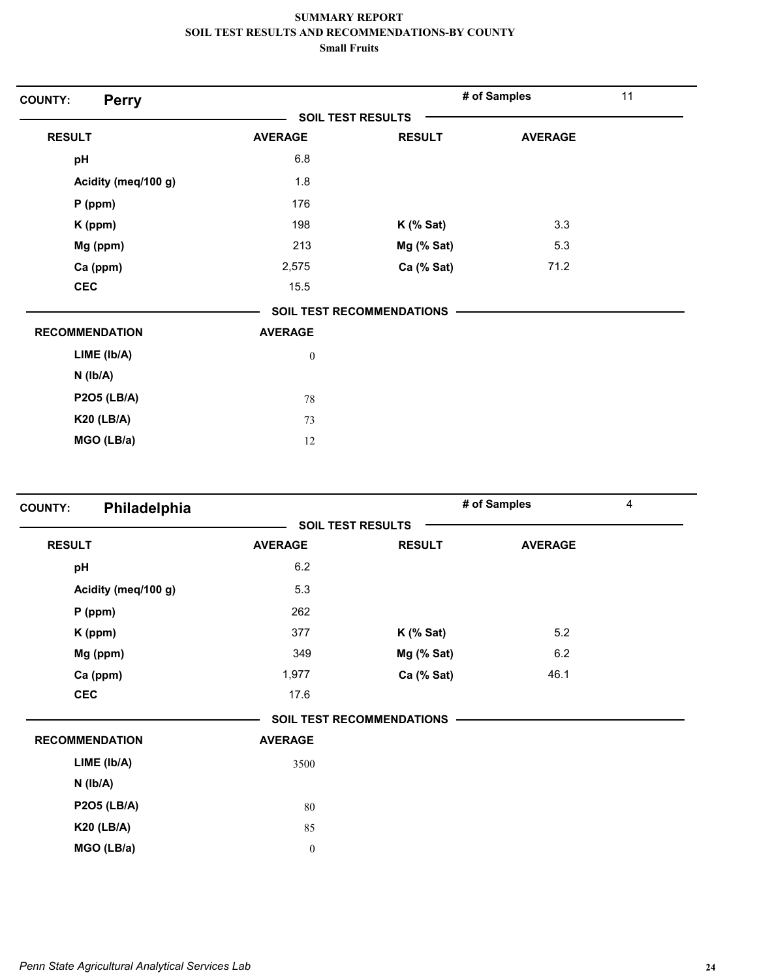| <b>Perry</b><br><b>COUNTY:</b> |                  |                                  | # of Samples   | 11 |
|--------------------------------|------------------|----------------------------------|----------------|----|
|                                |                  | <b>SOIL TEST RESULTS</b>         |                |    |
| <b>RESULT</b>                  | <b>AVERAGE</b>   | <b>RESULT</b>                    | <b>AVERAGE</b> |    |
| pH                             | 6.8              |                                  |                |    |
| Acidity (meq/100 g)            | 1.8              |                                  |                |    |
| $P$ (ppm)                      | 176              |                                  |                |    |
| K (ppm)                        | 198              | $K$ (% Sat)                      | 3.3            |    |
| Mg (ppm)                       | 213              | Mg (% Sat)                       | 5.3            |    |
| Ca (ppm)                       | 2,575            | Ca (% Sat)                       | 71.2           |    |
| <b>CEC</b>                     | 15.5             |                                  |                |    |
|                                |                  | <b>SOIL TEST RECOMMENDATIONS</b> |                |    |
| <b>RECOMMENDATION</b>          | <b>AVERAGE</b>   |                                  |                |    |
| LIME (Ib/A)                    | $\boldsymbol{0}$ |                                  |                |    |
| $N$ ( $Ib/A$ )                 |                  |                                  |                |    |
| <b>P2O5 (LB/A)</b>             | 78               |                                  |                |    |
| <b>K20 (LB/A)</b>              | 73               |                                  |                |    |
| MGO (LB/a)                     | 12               |                                  |                |    |

| Philadelphia<br><b>COUNTY:</b> |                  |                                  | # of Samples   | $\overline{4}$ |
|--------------------------------|------------------|----------------------------------|----------------|----------------|
|                                |                  | <b>SOIL TEST RESULTS</b>         |                |                |
| <b>RESULT</b>                  | <b>AVERAGE</b>   | <b>RESULT</b>                    | <b>AVERAGE</b> |                |
| pH                             | 6.2              |                                  |                |                |
| Acidity (meq/100 g)            | 5.3              |                                  |                |                |
| $P$ (ppm)                      | 262              |                                  |                |                |
| K (ppm)                        | 377              | $K$ (% Sat)                      | 5.2            |                |
| Mg (ppm)                       | 349              | Mg (% Sat)                       | 6.2            |                |
| Ca (ppm)                       | 1,977            | Ca (% Sat)                       | 46.1           |                |
| <b>CEC</b>                     | 17.6             |                                  |                |                |
|                                |                  | <b>SOIL TEST RECOMMENDATIONS</b> |                |                |
| <b>RECOMMENDATION</b>          | <b>AVERAGE</b>   |                                  |                |                |
| LIME (Ib/A)                    | 3500             |                                  |                |                |
| $N$ ( $lb/A$ )                 |                  |                                  |                |                |
| <b>P2O5 (LB/A)</b>             | 80               |                                  |                |                |
| <b>K20 (LB/A)</b>              | 85               |                                  |                |                |
| MGO (LB/a)                     | $\boldsymbol{0}$ |                                  |                |                |
|                                |                  |                                  |                |                |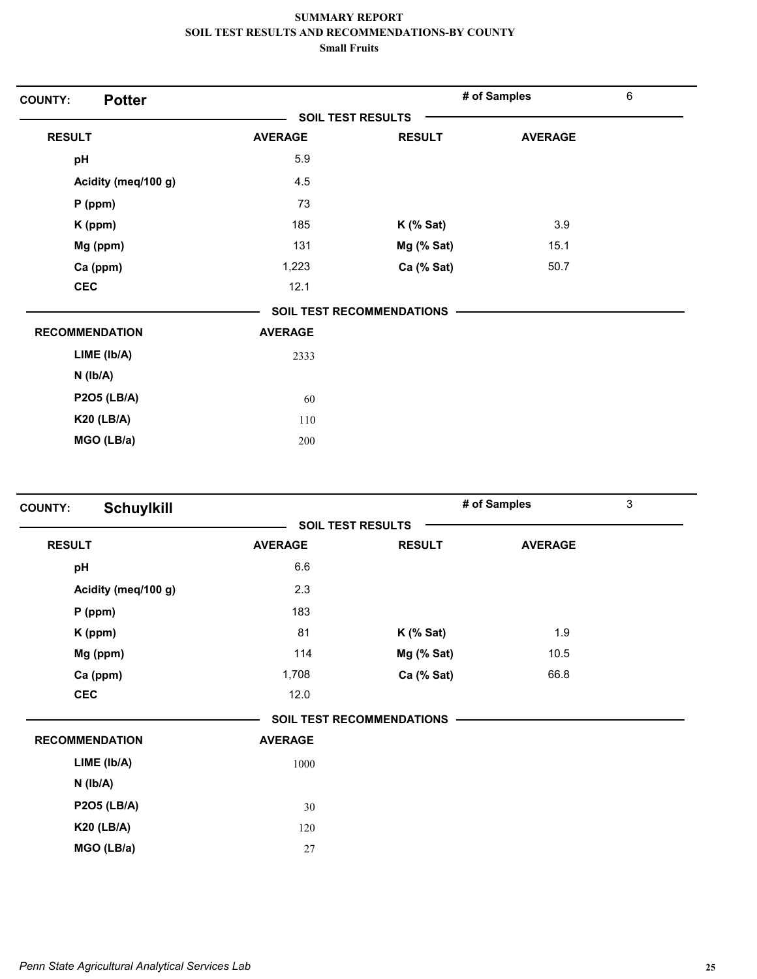| <b>Potter</b><br><b>COUNTY:</b> |                |                                  | # of Samples   | $\,6\,$ |
|---------------------------------|----------------|----------------------------------|----------------|---------|
|                                 |                | <b>SOIL TEST RESULTS</b>         |                |         |
| <b>RESULT</b>                   | <b>AVERAGE</b> | <b>RESULT</b>                    | <b>AVERAGE</b> |         |
| pH                              | 5.9            |                                  |                |         |
| Acidity (meq/100 g)             | 4.5            |                                  |                |         |
| $P$ (ppm)                       | 73             |                                  |                |         |
| K (ppm)                         | 185            | $K$ (% Sat)                      | 3.9            |         |
| Mg (ppm)                        | 131            | Mg (% Sat)                       | 15.1           |         |
| Ca (ppm)                        | 1,223          | Ca (% Sat)                       | 50.7           |         |
| <b>CEC</b>                      | 12.1           |                                  |                |         |
|                                 |                | <b>SOIL TEST RECOMMENDATIONS</b> |                |         |
| <b>RECOMMENDATION</b>           | <b>AVERAGE</b> |                                  |                |         |
| LIME (Ib/A)                     | 2333           |                                  |                |         |
| $N$ ( $Ib/A$ )                  |                |                                  |                |         |
| <b>P2O5 (LB/A)</b>              | 60             |                                  |                |         |
| <b>K20 (LB/A)</b>               | 110            |                                  |                |         |
| MGO (LB/a)                      | 200            |                                  |                |         |

| <b>Schuylkill</b><br><b>COUNTY:</b> |                |                                  | # of Samples   | 3 |
|-------------------------------------|----------------|----------------------------------|----------------|---|
|                                     |                | <b>SOIL TEST RESULTS</b>         |                |   |
| <b>RESULT</b>                       | <b>AVERAGE</b> | <b>RESULT</b>                    | <b>AVERAGE</b> |   |
| pH                                  | 6.6            |                                  |                |   |
| Acidity (meq/100 g)                 | 2.3            |                                  |                |   |
| $P$ (ppm)                           | 183            |                                  |                |   |
| K (ppm)                             | 81             | $K$ (% Sat)                      | 1.9            |   |
| Mg (ppm)                            | 114            | Mg (% Sat)                       | 10.5           |   |
| Ca (ppm)                            | 1,708          | Ca (% Sat)                       | 66.8           |   |
| <b>CEC</b>                          | 12.0           |                                  |                |   |
|                                     |                | <b>SOIL TEST RECOMMENDATIONS</b> |                |   |
| <b>RECOMMENDATION</b>               | <b>AVERAGE</b> |                                  |                |   |
| LIME (lb/A)                         | 1000           |                                  |                |   |
| $N$ ( $lb/A$ )                      |                |                                  |                |   |
| <b>P2O5 (LB/A)</b>                  | 30             |                                  |                |   |
| <b>K20 (LB/A)</b>                   | 120            |                                  |                |   |
| MGO (LB/a)                          | 27             |                                  |                |   |
|                                     |                |                                  |                |   |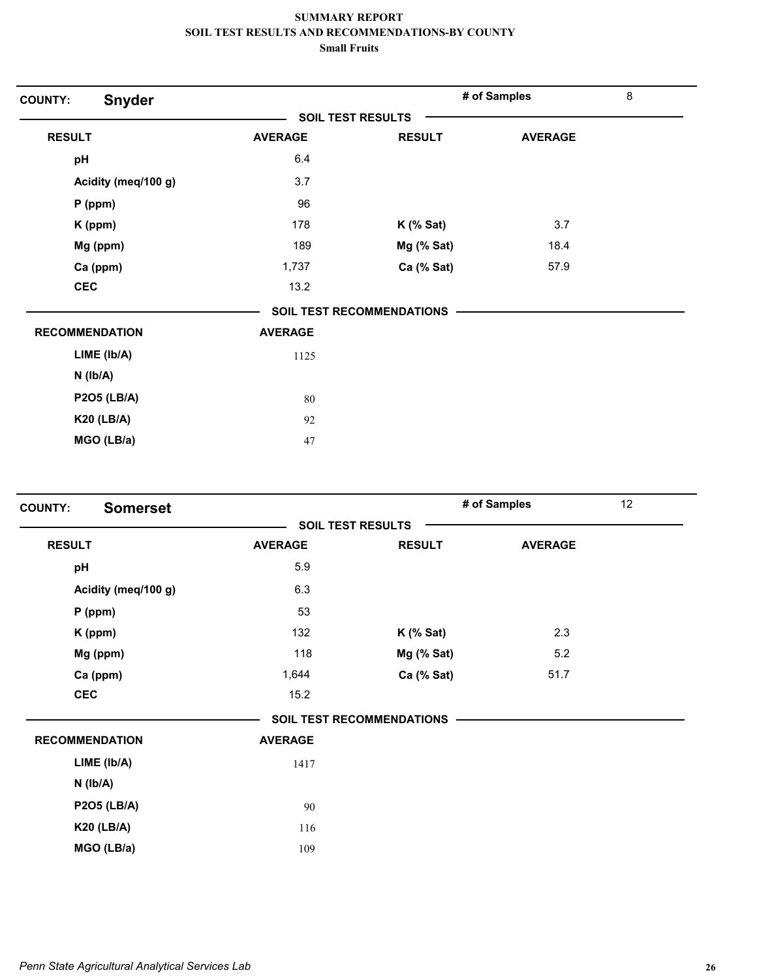| <b>Snyder</b><br><b>COUNTY:</b> |                   |                                  | # of Samples   | $\,8\,$ |
|---------------------------------|-------------------|----------------------------------|----------------|---------|
|                                 | SOIL TEST RESULTS |                                  |                |         |
| <b>RESULT</b>                   | <b>AVERAGE</b>    | <b>RESULT</b>                    | <b>AVERAGE</b> |         |
| pH                              | 6.4               |                                  |                |         |
| Acidity (meq/100 g)             | 3.7               |                                  |                |         |
| $P$ (ppm)                       | 96                |                                  |                |         |
| K (ppm)                         | 178               | $K$ (% Sat)                      | 3.7            |         |
| Mg (ppm)                        | 189               | Mg (% Sat)                       | 18.4           |         |
| Ca (ppm)                        | 1,737             | Ca (% Sat)                       | 57.9           |         |
| <b>CEC</b>                      | 13.2              |                                  |                |         |
|                                 |                   | <b>SOIL TEST RECOMMENDATIONS</b> |                |         |
| <b>RECOMMENDATION</b>           | <b>AVERAGE</b>    |                                  |                |         |
| LIME (Ib/A)                     | 1125              |                                  |                |         |
| $N$ ( $Ib/A$ )                  |                   |                                  |                |         |
| <b>P2O5 (LB/A)</b>              | 80                |                                  |                |         |
| <b>K20 (LB/A)</b>               | 92                |                                  |                |         |
| MGO (LB/a)                      | 47                |                                  |                |         |

| <b>Somerset</b><br><b>COUNTY:</b> |                |                                  | # of Samples   | 12 |
|-----------------------------------|----------------|----------------------------------|----------------|----|
|                                   |                | <b>SOIL TEST RESULTS</b>         |                |    |
| <b>RESULT</b>                     | <b>AVERAGE</b> | <b>RESULT</b>                    | <b>AVERAGE</b> |    |
| pH                                | 5.9            |                                  |                |    |
| Acidity (meq/100 g)               | 6.3            |                                  |                |    |
| $P$ (ppm)                         | 53             |                                  |                |    |
| K (ppm)                           | 132            | $K$ (% Sat)                      | 2.3            |    |
| Mg (ppm)                          | 118            | Mg (% Sat)                       | 5.2            |    |
| Ca (ppm)                          | 1,644          | Ca (% Sat)                       | 51.7           |    |
| <b>CEC</b>                        | 15.2           |                                  |                |    |
|                                   |                | <b>SOIL TEST RECOMMENDATIONS</b> |                |    |
| <b>RECOMMENDATION</b>             | <b>AVERAGE</b> |                                  |                |    |
| LIME (Ib/A)                       | 1417           |                                  |                |    |
| $N$ ( $Ib/A$ )                    |                |                                  |                |    |
| <b>P2O5 (LB/A)</b>                | 90             |                                  |                |    |
| <b>K20 (LB/A)</b>                 | 116            |                                  |                |    |
| MGO (LB/a)                        | 109            |                                  |                |    |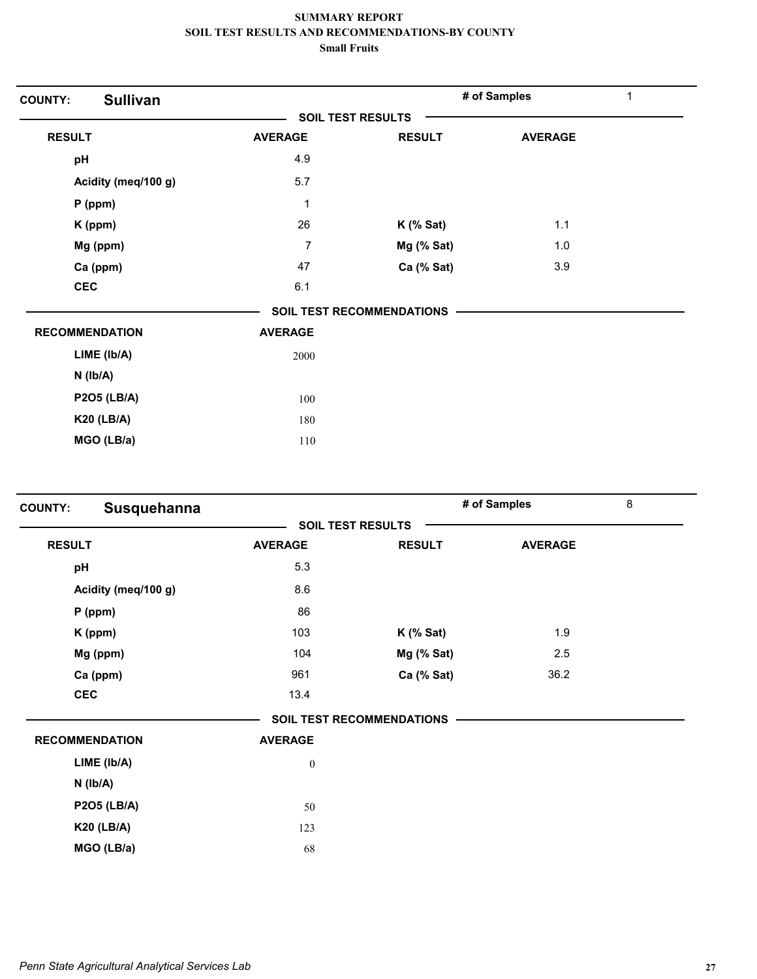| <b>COUNTY:</b> | <b>Sullivan</b>       |                |                                  | # of Samples   | 1 |
|----------------|-----------------------|----------------|----------------------------------|----------------|---|
|                |                       |                | <b>SOIL TEST RESULTS</b>         |                |   |
| <b>RESULT</b>  |                       | <b>AVERAGE</b> | <b>RESULT</b>                    | <b>AVERAGE</b> |   |
| pH             |                       | 4.9            |                                  |                |   |
|                | Acidity (meq/100 g)   | 5.7            |                                  |                |   |
|                | $P$ (ppm)             | 1              |                                  |                |   |
|                | K (ppm)               | 26             | $K$ (% Sat)                      | 1.1            |   |
|                | Mg (ppm)              | $\overline{7}$ | Mg (% Sat)                       | 1.0            |   |
|                | Ca (ppm)              | 47             | Ca (% Sat)                       | 3.9            |   |
| <b>CEC</b>     |                       | 6.1            |                                  |                |   |
|                |                       |                | <b>SOIL TEST RECOMMENDATIONS</b> |                |   |
|                | <b>RECOMMENDATION</b> | <b>AVERAGE</b> |                                  |                |   |
|                | LIME (lb/A)           | 2000           |                                  |                |   |
|                | $N$ ( $lb/A$ )        |                |                                  |                |   |
|                | <b>P2O5 (LB/A)</b>    | 100            |                                  |                |   |
|                | <b>K20 (LB/A)</b>     | 180            |                                  |                |   |
|                | MGO (LB/a)            | 110            |                                  |                |   |
|                |                       |                |                                  |                |   |

| <b>COUNTY:</b>        | Susquehanna |                  |                                  | # of Samples   | 8 |
|-----------------------|-------------|------------------|----------------------------------|----------------|---|
|                       |             |                  | <b>SOIL TEST RESULTS</b>         |                |   |
| <b>RESULT</b>         |             | <b>AVERAGE</b>   | <b>RESULT</b>                    | <b>AVERAGE</b> |   |
| pH                    |             | 5.3              |                                  |                |   |
| Acidity (meq/100 g)   |             | 8.6              |                                  |                |   |
| $P$ (ppm)             |             | 86               |                                  |                |   |
| K (ppm)               |             | 103              | $K$ (% Sat)                      | 1.9            |   |
| Mg (ppm)              |             | 104              | Mg (% Sat)                       | 2.5            |   |
| Ca (ppm)              |             | 961              | Ca (% Sat)                       | 36.2           |   |
| <b>CEC</b>            |             | 13.4             |                                  |                |   |
|                       |             |                  | <b>SOIL TEST RECOMMENDATIONS</b> |                |   |
| <b>RECOMMENDATION</b> |             | <b>AVERAGE</b>   |                                  |                |   |
| LIME (lb/A)           |             | $\boldsymbol{0}$ |                                  |                |   |
| $N$ ( $lb/A$ )        |             |                  |                                  |                |   |
| <b>P2O5 (LB/A)</b>    |             | 50               |                                  |                |   |
| <b>K20 (LB/A)</b>     |             | 123              |                                  |                |   |
| MGO (LB/a)            |             | 68               |                                  |                |   |
|                       |             |                  |                                  |                |   |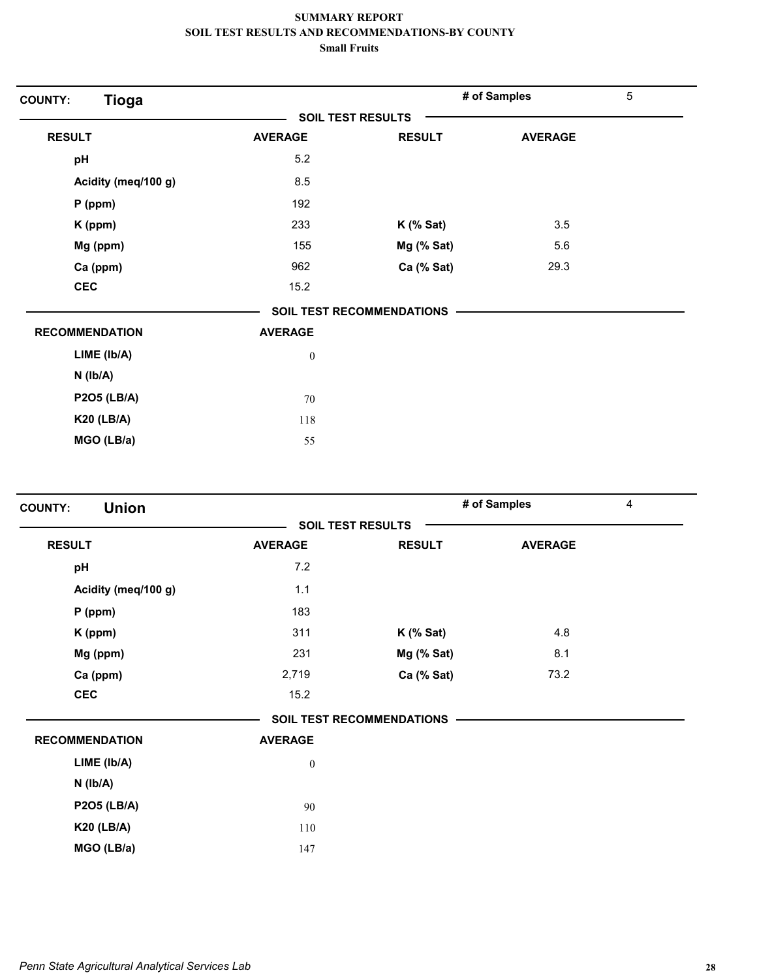| <b>Tioga</b><br><b>SOIL TEST RESULTS</b><br><b>RESULT</b><br><b>RESULT</b><br><b>AVERAGE</b><br>5.2<br>pH<br>8.5<br>Acidity (meq/100 g)<br>192<br>$P$ (ppm)<br>233<br>$K$ (% Sat)<br>K (ppm)<br>Mg (ppm)<br>155<br>Mg (% Sat)<br>Ca (% Sat)<br>Ca (ppm)<br>962 | 5<br># of Samples |
|----------------------------------------------------------------------------------------------------------------------------------------------------------------------------------------------------------------------------------------------------------------|-------------------|
|                                                                                                                                                                                                                                                                |                   |
|                                                                                                                                                                                                                                                                | <b>AVERAGE</b>    |
|                                                                                                                                                                                                                                                                |                   |
|                                                                                                                                                                                                                                                                |                   |
|                                                                                                                                                                                                                                                                |                   |
|                                                                                                                                                                                                                                                                | 3.5               |
|                                                                                                                                                                                                                                                                | 5.6               |
|                                                                                                                                                                                                                                                                | 29.3              |
| <b>CEC</b><br>15.2                                                                                                                                                                                                                                             |                   |
| <b>SOIL TEST RECOMMENDATIONS</b>                                                                                                                                                                                                                               |                   |
| <b>RECOMMENDATION</b><br><b>AVERAGE</b>                                                                                                                                                                                                                        |                   |
| LIME (Ib/A)<br>$\boldsymbol{0}$                                                                                                                                                                                                                                |                   |
| $N$ ( $lb/A$ )                                                                                                                                                                                                                                                 |                   |
| <b>P2O5 (LB/A)</b><br>70                                                                                                                                                                                                                                       |                   |
| <b>K20 (LB/A)</b><br>118                                                                                                                                                                                                                                       |                   |
| MGO (LB/a)<br>55                                                                                                                                                                                                                                               |                   |

| <b>Union</b><br><b>COUNTY:</b> |                  |                                  | # of Samples   | $\overline{4}$ |
|--------------------------------|------------------|----------------------------------|----------------|----------------|
|                                |                  | <b>SOIL TEST RESULTS</b>         |                |                |
| <b>RESULT</b>                  | <b>AVERAGE</b>   | <b>RESULT</b>                    | <b>AVERAGE</b> |                |
| pH                             | 7.2              |                                  |                |                |
| Acidity (meq/100 g)            | 1.1              |                                  |                |                |
| $P$ (ppm)                      | 183              |                                  |                |                |
| K (ppm)                        | 311              | $K$ (% Sat)                      | 4.8            |                |
| Mg (ppm)                       | 231              | Mg (% Sat)                       | 8.1            |                |
| Ca (ppm)                       | 2,719            | Ca (% Sat)                       | 73.2           |                |
| <b>CEC</b>                     | 15.2             |                                  |                |                |
|                                |                  | <b>SOIL TEST RECOMMENDATIONS</b> |                |                |
| <b>RECOMMENDATION</b>          | <b>AVERAGE</b>   |                                  |                |                |
| LIME (lb/A)                    | $\boldsymbol{0}$ |                                  |                |                |
| $N$ ( $Ib/A$ )                 |                  |                                  |                |                |
| <b>P2O5 (LB/A)</b>             | 90               |                                  |                |                |
| <b>K20 (LB/A)</b>              | 110              |                                  |                |                |
| MGO (LB/a)                     | 147              |                                  |                |                |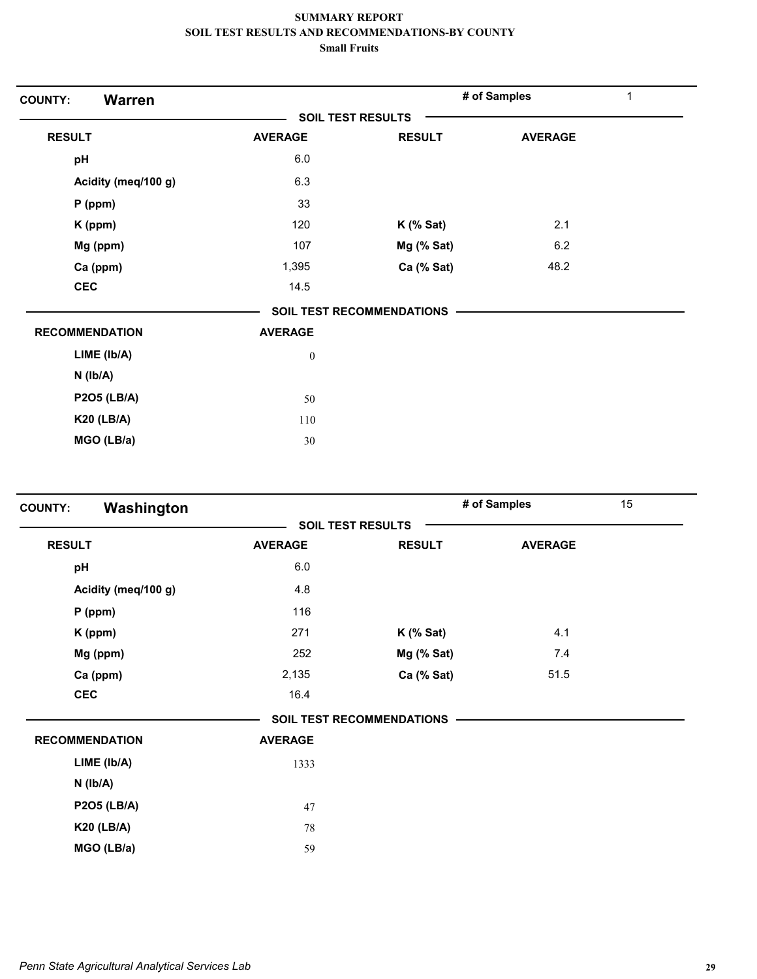| <b>Warren</b><br><b>COUNTY:</b> |                          |                           | # of Samples   | 1 |
|---------------------------------|--------------------------|---------------------------|----------------|---|
|                                 | <b>SOIL TEST RESULTS</b> |                           |                |   |
| <b>RESULT</b>                   | <b>AVERAGE</b>           | <b>RESULT</b>             | <b>AVERAGE</b> |   |
| pH                              | 6.0                      |                           |                |   |
| Acidity (meq/100 g)             | 6.3                      |                           |                |   |
| P (ppm)                         | 33                       |                           |                |   |
| K (ppm)                         | 120                      | $K$ (% Sat)               | 2.1            |   |
| Mg (ppm)                        | 107                      | Mg (% Sat)                | 6.2            |   |
| Ca (ppm)                        | 1,395                    | Ca (% Sat)                | 48.2           |   |
| <b>CEC</b>                      | 14.5                     |                           |                |   |
|                                 |                          | SOIL TEST RECOMMENDATIONS |                |   |
| <b>RECOMMENDATION</b>           | <b>AVERAGE</b>           |                           |                |   |
| LIME (Ib/A)                     | $\boldsymbol{0}$         |                           |                |   |
| $N$ ( $lb/A$ )                  |                          |                           |                |   |
| <b>P2O5 (LB/A)</b>              | 50                       |                           |                |   |
| <b>K20 (LB/A)</b>               | 110                      |                           |                |   |
| MGO (LB/a)                      | 30                       |                           |                |   |

| Washington<br><b>COUNTY:</b> |                |                                  | # of Samples   | 15 |
|------------------------------|----------------|----------------------------------|----------------|----|
|                              |                | <b>SOIL TEST RESULTS</b>         |                |    |
| <b>RESULT</b>                | <b>AVERAGE</b> | <b>RESULT</b>                    | <b>AVERAGE</b> |    |
| pH                           | 6.0            |                                  |                |    |
| Acidity (meq/100 g)          | 4.8            |                                  |                |    |
| $P$ (ppm)                    | 116            |                                  |                |    |
| K (ppm)                      | 271            | $K$ (% Sat)                      | 4.1            |    |
| Mg (ppm)                     | 252            | Mg (% Sat)                       | 7.4            |    |
| Ca (ppm)                     | 2,135          | Ca (% Sat)                       | 51.5           |    |
| <b>CEC</b>                   | 16.4           |                                  |                |    |
|                              |                | <b>SOIL TEST RECOMMENDATIONS</b> |                |    |
| <b>RECOMMENDATION</b>        | <b>AVERAGE</b> |                                  |                |    |
| LIME (Ib/A)                  | 1333           |                                  |                |    |
| $N$ ( $Ib/A$ )               |                |                                  |                |    |
| <b>P2O5 (LB/A)</b>           | 47             |                                  |                |    |
| <b>K20 (LB/A)</b>            | 78             |                                  |                |    |
| MGO (LB/a)                   | 59             |                                  |                |    |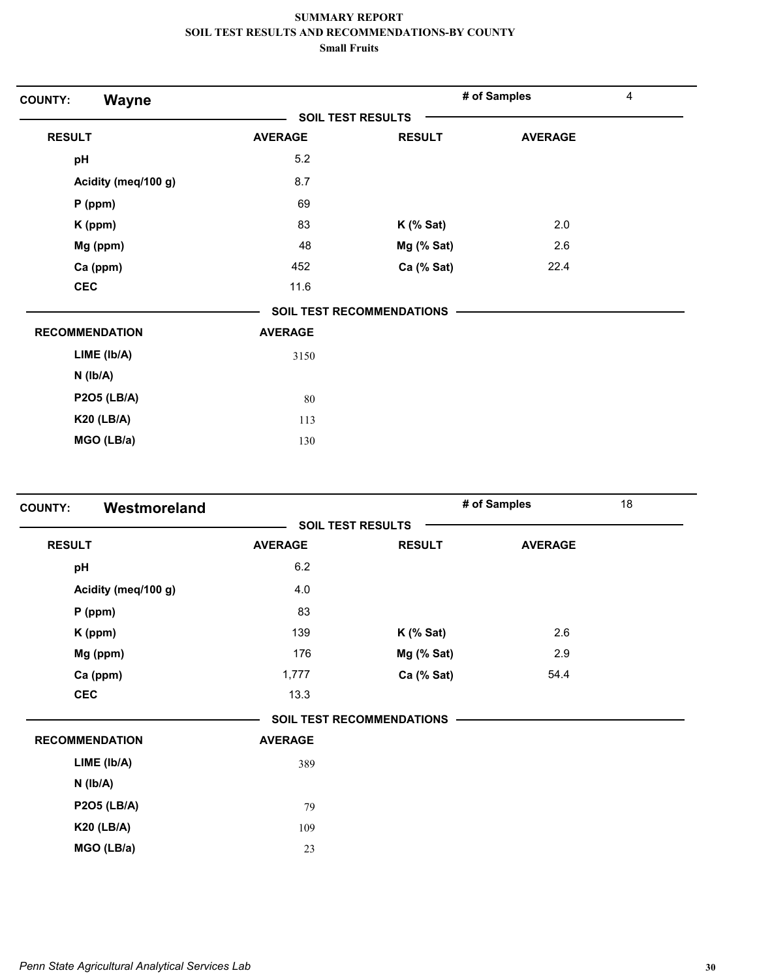| <b>Wayne</b><br><b>COUNTY:</b> |                |                                  | # of Samples   | $\overline{4}$ |
|--------------------------------|----------------|----------------------------------|----------------|----------------|
|                                |                | <b>SOIL TEST RESULTS</b>         |                |                |
| <b>RESULT</b>                  | <b>AVERAGE</b> | <b>RESULT</b>                    | <b>AVERAGE</b> |                |
| pH                             | 5.2            |                                  |                |                |
| Acidity (meq/100 g)            | 8.7            |                                  |                |                |
| $P$ (ppm)                      | 69             |                                  |                |                |
| K (ppm)                        | 83             | $K$ (% Sat)                      | 2.0            |                |
| Mg (ppm)                       | 48             | Mg (% Sat)                       | 2.6            |                |
| Ca (ppm)                       | 452            | Ca (% Sat)                       | 22.4           |                |
| <b>CEC</b>                     | 11.6           |                                  |                |                |
|                                |                | <b>SOIL TEST RECOMMENDATIONS</b> |                |                |
| <b>RECOMMENDATION</b>          | <b>AVERAGE</b> |                                  |                |                |
| LIME (Ib/A)                    | 3150           |                                  |                |                |
| $N$ ( $Ib/A$ )                 |                |                                  |                |                |
| <b>P2O5 (LB/A)</b>             | 80             |                                  |                |                |
| <b>K20 (LB/A)</b>              | 113            |                                  |                |                |
| MGO (LB/a)                     | 130            |                                  |                |                |

| Westmoreland<br><b>COUNTY:</b> |                |                                  | # of Samples   | 18 |
|--------------------------------|----------------|----------------------------------|----------------|----|
|                                |                | <b>SOIL TEST RESULTS</b>         |                |    |
| <b>RESULT</b>                  | <b>AVERAGE</b> | <b>RESULT</b>                    | <b>AVERAGE</b> |    |
| pH                             | 6.2            |                                  |                |    |
| Acidity (meq/100 g)            | 4.0            |                                  |                |    |
| $P$ (ppm)                      | 83             |                                  |                |    |
| K (ppm)                        | 139            | $K$ (% Sat)                      | 2.6            |    |
| Mg (ppm)                       | 176            | Mg (% Sat)                       | 2.9            |    |
| Ca (ppm)                       | 1,777          | Ca (% Sat)                       | 54.4           |    |
| <b>CEC</b>                     | 13.3           |                                  |                |    |
|                                |                | <b>SOIL TEST RECOMMENDATIONS</b> |                |    |
| <b>RECOMMENDATION</b>          | <b>AVERAGE</b> |                                  |                |    |
| LIME (Ib/A)                    | 389            |                                  |                |    |
| $N$ ( $lb/A$ )                 |                |                                  |                |    |
| <b>P2O5 (LB/A)</b>             | 79             |                                  |                |    |
| <b>K20 (LB/A)</b>              | 109            |                                  |                |    |
| MGO (LB/a)                     | 23             |                                  |                |    |
|                                |                |                                  |                |    |